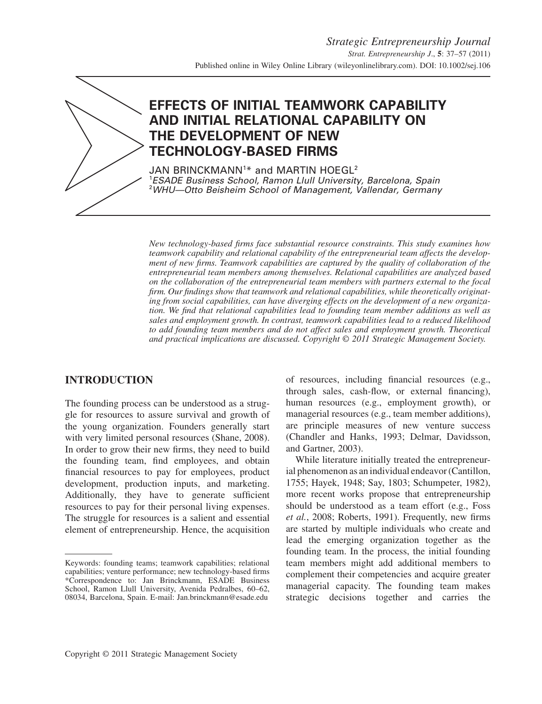

# **EFFECTS OF INITIAL TEAMWORK CAPABILITY AND INITIAL RELATIONAL CAPABILITY ON THE DEVELOPMENT OF NEW TECHNOLOGY-BASED FIRMS**

<code>JAN BRINCKMANN</code>1\* and MARTIN <code>HOEGL $^{\rm 2}$ </code> 1 *ESADE Business School, Ramon Llull University, Barcelona, Spain* 2 *WHU—Otto Beisheim School of Management, Vallendar, Germany*

*New technology-based fi rms face substantial resource constraints. This study examines how teamwork capability and relational capability of the entrepreneurial team affects the development of new firms. Teamwork capabilities are captured by the quality of collaboration of the entrepreneurial team members among themselves. Relational capabilities are analyzed based on the collaboration of the entrepreneurial team members with partners external to the focal*  firm. Our findings show that teamwork and relational capabilities, while theoretically originat*ing from social capabilities, can have diverging effects on the development of a new organization. We find that relational capabilities lead to founding team member additions as well as sales and employment growth. In contrast, teamwork capabilities lead to a reduced likelihood to add founding team members and do not affect sales and employment growth. Theoretical and practical implications are discussed. Copyright © 2011 Strategic Management Society.*

### **INTRODUCTION**

The founding process can be understood as a struggle for resources to assure survival and growth of the young organization. Founders generally start with very limited personal resources (Shane, 2008). In order to grow their new firms, they need to build the founding team, find employees, and obtain financial resources to pay for employees, product development, production inputs, and marketing. Additionally, they have to generate sufficient resources to pay for their personal living expenses. The struggle for resources is a salient and essential element of entrepreneurship. Hence, the acquisition

of resources, including financial resources (e.g., through sales, cash-flow, or external financing), human resources (e.g., employment growth), or managerial resources (e.g., team member additions), are principle measures of new venture success (Chandler and Hanks, 1993; Delmar, Davidsson, and Gartner, 2003).

While literature initially treated the entrepreneurial phenomenon as an individual endeavor (Cantillon, 1755; Hayek, 1948; Say, 1803; Schumpeter, 1982), more recent works propose that entrepreneurship should be understood as a team effort (e.g., Foss *et al.*, 2008; Roberts, 1991). Frequently, new firms are started by multiple individuals who create and lead the emerging organization together as the founding team. In the process, the initial founding team members might add additional members to complement their competencies and acquire greater managerial capacity. The founding team makes strategic decisions together and carries the

Keywords: founding teams; teamwork capabilities; relational capabilities; venture performance; new technology-based firms \*Correspondence to: Jan Brinckmann, ESADE Business School, Ramon Llull University, Avenida Pedralbes, 60–62, 08034, Barcelona, Spain. E-mail: Jan.brinckmann@esade.edu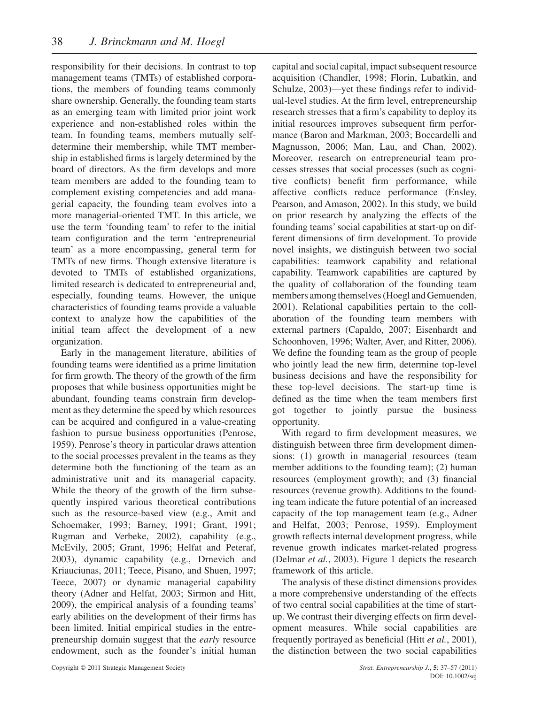responsibility for their decisions. In contrast to top management teams (TMTs) of established corporations, the members of founding teams commonly share ownership. Generally, the founding team starts as an emerging team with limited prior joint work experience and non-established roles within the team. In founding teams, members mutually selfdetermine their membership, while TMT membership in established firms is largely determined by the board of directors. As the firm develops and more team members are added to the founding team to complement existing competencies and add managerial capacity, the founding team evolves into a more managerial-oriented TMT. In this article, we use the term 'founding team' to refer to the initial team configuration and the term 'entrepreneurial team' as a more encompassing, general term for TMTs of new firms. Though extensive literature is devoted to TMTs of established organizations, limited research is dedicated to entrepreneurial and, especially, founding teams. However, the unique characteristics of founding teams provide a valuable context to analyze how the capabilities of the initial team affect the development of a new organization.

Early in the management literature, abilities of founding teams were identified as a prime limitation for firm growth. The theory of the growth of the firm proposes that while business opportunities might be abundant, founding teams constrain firm development as they determine the speed by which resources can be acquired and configured in a value-creating fashion to pursue business opportunities (Penrose, 1959). Penrose's theory in particular draws attention to the social processes prevalent in the teams as they determine both the functioning of the team as an administrative unit and its managerial capacity. While the theory of the growth of the firm subsequently inspired various theoretical contributions such as the resource-based view (e.g., Amit and Schoemaker, 1993; Barney, 1991; Grant, 1991; Rugman and Verbeke, 2002), capability (e.g., McEvily, 2005; Grant, 1996; Helfat and Peteraf, 2003), dynamic capability (e.g., Drnevich and Kriauciunas, 2011; Teece, Pisano, and Shuen, 1997; Teece, 2007) or dynamic managerial capability theory (Adner and Helfat, 2003; Sirmon and Hitt, 2009), the empirical analysis of a founding teams' early abilities on the development of their firms has been limited. Initial empirical studies in the entrepreneurship domain suggest that the *early* resource endowment, such as the founder's initial human

capital and social capital, impact subsequent resource acquisition (Chandler, 1998; Florin, Lubatkin, and Schulze, 2003)—yet these findings refer to individual-level studies. At the firm level, entrepreneurship research stresses that a firm's capability to deploy its initial resources improves subsequent firm performance (Baron and Markman, 2003; Boccardelli and Magnusson, 2006; Man, Lau, and Chan, 2002). Moreover, research on entrepreneurial team processes stresses that social processes (such as cognitive conflicts) benefit firm performance, while affective conflicts reduce performance (Ensley, Pearson, and Amason, 2002). In this study, we build on prior research by analyzing the effects of the founding teams' social capabilities at start-up on different dimensions of firm development. To provide novel insights, we distinguish between two social capabilities: teamwork capability and relational capability. Teamwork capabilities are captured by the quality of collaboration of the founding team members among themselves (Hoegl and Gemuenden, 2001). Relational capabilities pertain to the collaboration of the founding team members with external partners (Capaldo, 2007; Eisenhardt and Schoonhoven, 1996; Walter, Aver, and Ritter, 2006). We define the founding team as the group of people who jointly lead the new firm, determine top-level business decisions and have the responsibility for these top-level decisions. The start-up time is defined as the time when the team members first got together to jointly pursue the business opportunity.

With regard to firm development measures, we distinguish between three firm development dimensions: (1) growth in managerial resources (team member additions to the founding team); (2) human resources (employment growth); and (3) financial resources (revenue growth). Additions to the founding team indicate the future potential of an increased capacity of the top management team (e.g., Adner and Helfat, 2003; Penrose, 1959). Employment growth reflects internal development progress, while revenue growth indicates market-related progress (Delmar *et al.*, 2003). Figure 1 depicts the research framework of this article.

The analysis of these distinct dimensions provides a more comprehensive understanding of the effects of two central social capabilities at the time of startup. We contrast their diverging effects on firm development measures. While social capabilities are frequently portrayed as beneficial (Hitt *et al.*, 2001), the distinction between the two social capabilities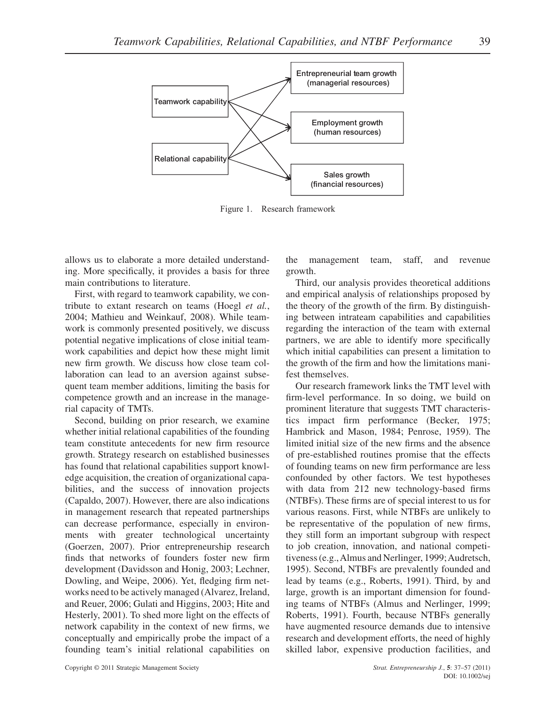

Figure 1. Research framework

allows us to elaborate a more detailed understanding. More specifically, it provides a basis for three main contributions to literature.

First, with regard to teamwork capability, we contribute to extant research on teams (Hoegl *et al.*, 2004; Mathieu and Weinkauf, 2008). While teamwork is commonly presented positively, we discuss potential negative implications of close initial teamwork capabilities and depict how these might limit new firm growth. We discuss how close team collaboration can lead to an aversion against subsequent team member additions, limiting the basis for competence growth and an increase in the managerial capacity of TMTs.

Second, building on prior research, we examine whether initial relational capabilities of the founding team constitute antecedents for new firm resource growth. Strategy research on established businesses has found that relational capabilities support knowledge acquisition, the creation of organizational capabilities, and the success of innovation projects (Capaldo, 2007). However, there are also indications in management research that repeated partnerships can decrease performance, especially in environments with greater technological uncertainty (Goerzen, 2007). Prior entrepreneurship research finds that networks of founders foster new firm development (Davidsson and Honig, 2003; Lechner, Dowling, and Weipe, 2006). Yet, fledging firm networks need to be actively managed (Alvarez, Ireland, and Reuer, 2006; Gulati and Higgins, 2003; Hite and Hesterly, 2001). To shed more light on the effects of network capability in the context of new firms, we conceptually and empirically probe the impact of a founding team's initial relational capabilities on

the management team, staff, and revenue growth.

Third, our analysis provides theoretical additions and empirical analysis of relationships proposed by the theory of the growth of the firm. By distinguishing between intrateam capabilities and capabilities regarding the interaction of the team with external partners, we are able to identify more specifically which initial capabilities can present a limitation to the growth of the firm and how the limitations manifest themselves.

Our research framework links the TMT level with firm-level performance. In so doing, we build on prominent literature that suggests TMT characteristics impact firm performance (Becker, 1975; Hambrick and Mason, 1984; Penrose, 1959). The limited initial size of the new firms and the absence of pre-established routines promise that the effects of founding teams on new firm performance are less confounded by other factors. We test hypotheses with data from  $212$  new technology-based firms (NTBFs). These firms are of special interest to us for various reasons. First, while NTBFs are unlikely to be representative of the population of new firms, they still form an important subgroup with respect to job creation, innovation, and national competitiveness (e.g., Almus and Nerlinger, 1999; Audretsch, 1995). Second, NTBFs are prevalently founded and lead by teams (e.g., Roberts, 1991). Third, by and large, growth is an important dimension for founding teams of NTBFs (Almus and Nerlinger, 1999; Roberts, 1991). Fourth, because NTBFs generally have augmented resource demands due to intensive research and development efforts, the need of highly skilled labor, expensive production facilities, and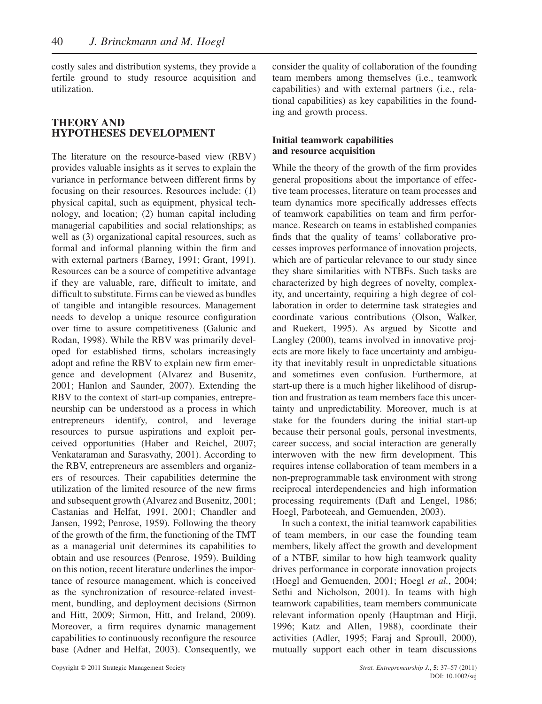costly sales and distribution systems, they provide a fertile ground to study resource acquisition and utilization.

#### **THEORY AND HYPOTHESES DEVELOPMENT**

The literature on the resource-based view (RBV) provides valuable insights as it serves to explain the variance in performance between different firms by focusing on their resources. Resources include: (1) physical capital, such as equipment, physical technology, and location; (2) human capital including managerial capabilities and social relationships; as well as (3) organizational capital resources, such as formal and informal planning within the firm and with external partners (Barney, 1991; Grant, 1991). Resources can be a source of competitive advantage if they are valuable, rare, difficult to imitate, and difficult to substitute. Firms can be viewed as bundles of tangible and intangible resources. Management needs to develop a unique resource configuration over time to assure competitiveness (Galunic and Rodan, 1998). While the RBV was primarily developed for established firms, scholars increasingly adopt and refine the RBV to explain new firm emergence and development (Alvarez and Busenitz, 2001; Hanlon and Saunder, 2007). Extending the RBV to the context of start-up companies, entrepreneurship can be understood as a process in which entrepreneurs identify, control, and leverage resources to pursue aspirations and exploit perceived opportunities (Haber and Reichel, 2007; Venkataraman and Sarasvathy, 2001). According to the RBV, entrepreneurs are assemblers and organizers of resources. Their capabilities determine the utilization of the limited resource of the new firms and subsequent growth (Alvarez and Busenitz, 2001; Castanias and Helfat, 1991, 2001; Chandler and Jansen, 1992; Penrose, 1959). Following the theory of the growth of the firm, the functioning of the TMT as a managerial unit determines its capabilities to obtain and use resources (Penrose, 1959). Building on this notion, recent literature underlines the importance of resource management, which is conceived as the synchronization of resource-related investment, bundling, and deployment decisions (Sirmon and Hitt, 2009; Sirmon, Hitt, and Ireland, 2009). Moreover, a firm requires dynamic management capabilities to continuously reconfigure the resource base (Adner and Helfat, 2003). Consequently, we

consider the quality of collaboration of the founding team members among themselves (i.e., teamwork capabilities) and with external partners (i.e., relational capabilities) as key capabilities in the founding and growth process.

#### **Initial teamwork capabilities and resource acquisition**

While the theory of the growth of the firm provides general propositions about the importance of effective team processes, literature on team processes and team dynamics more specifically addresses effects of teamwork capabilities on team and firm performance. Research on teams in established companies finds that the quality of teams' collaborative processes improves performance of innovation projects, which are of particular relevance to our study since they share similarities with NTBFs. Such tasks are characterized by high degrees of novelty, complexity, and uncertainty, requiring a high degree of collaboration in order to determine task strategies and coordinate various contributions (Olson, Walker, and Ruekert, 1995). As argued by Sicotte and Langley (2000), teams involved in innovative projects are more likely to face uncertainty and ambiguity that inevitably result in unpredictable situations and sometimes even confusion. Furthermore, at start-up there is a much higher likelihood of disruption and frustration as team members face this uncertainty and unpredictability. Moreover, much is at stake for the founders during the initial start-up because their personal goals, personal investments, career success, and social interaction are generally interwoven with the new firm development. This requires intense collaboration of team members in a non-preprogrammable task environment with strong reciprocal interdependencies and high information processing requirements (Daft and Lengel, 1986; Hoegl, Parboteeah, and Gemuenden, 2003).

In such a context, the initial teamwork capabilities of team members, in our case the founding team members, likely affect the growth and development of a NTBF, similar to how high teamwork quality drives performance in corporate innovation projects (Hoegl and Gemuenden, 2001; Hoegl *et al.*, 2004; Sethi and Nicholson, 2001). In teams with high teamwork capabilities, team members communicate relevant information openly (Hauptman and Hirji, 1996; Katz and Allen, 1988), coordinate their activities (Adler, 1995; Faraj and Sproull, 2000), mutually support each other in team discussions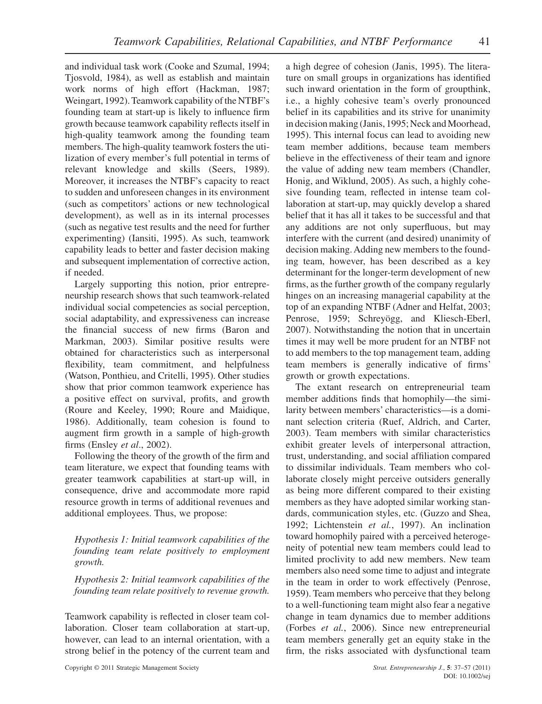and individual task work (Cooke and Szumal, 1994; Tjosvold, 1984), as well as establish and maintain work norms of high effort (Hackman, 1987; Weingart, 1992). Teamwork capability of the NTBF's founding team at start-up is likely to influence firm growth because teamwork capability reflects itself in high-quality teamwork among the founding team members. The high-quality teamwork fosters the utilization of every member's full potential in terms of relevant knowledge and skills (Seers, 1989). Moreover, it increases the NTBF's capacity to react to sudden and unforeseen changes in its environment (such as competitors' actions or new technological development), as well as in its internal processes (such as negative test results and the need for further experimenting) (Iansiti, 1995). As such, teamwork capability leads to better and faster decision making and subsequent implementation of corrective action, if needed.

Largely supporting this notion, prior entrepreneurship research shows that such teamwork-related individual social competencies as social perception, social adaptability, and expressiveness can increase the financial success of new firms (Baron and Markman, 2003). Similar positive results were obtained for characteristics such as interpersonal flexibility, team commitment, and helpfulness (Watson, Ponthieu, and Critelli, 1995). Other studies show that prior common teamwork experience has a positive effect on survival, profits, and growth (Roure and Keeley, 1990; Roure and Maidique, 1986). Additionally, team cohesion is found to augment firm growth in a sample of high-growth fi rms (Ensley *et al*., 2002).

Following the theory of the growth of the firm and team literature, we expect that founding teams with greater teamwork capabilities at start-up will, in consequence, drive and accommodate more rapid resource growth in terms of additional revenues and additional employees. Thus, we propose:

*Hypothesis 1: Initial teamwork capabilities of the founding team relate positively to employment growth.*

*Hypothesis 2: Initial teamwork capabilities of the founding team relate positively to revenue growth.*

Teamwork capability is reflected in closer team collaboration. Closer team collaboration at start-up, however, can lead to an internal orientation, with a strong belief in the potency of the current team and a high degree of cohesion (Janis, 1995). The literature on small groups in organizations has identified such inward orientation in the form of groupthink, i.e., a highly cohesive team's overly pronounced belief in its capabilities and its strive for unanimity in decision making (Janis, 1995; Neck and Moorhead, 1995). This internal focus can lead to avoiding new team member additions, because team members believe in the effectiveness of their team and ignore the value of adding new team members (Chandler, Honig, and Wiklund, 2005). As such, a highly cohesive founding team, reflected in intense team collaboration at start-up, may quickly develop a shared belief that it has all it takes to be successful and that any additions are not only superfluous, but may interfere with the current (and desired) unanimity of decision making. Adding new members to the founding team, however, has been described as a key determinant for the longer-term development of new firms, as the further growth of the company regularly hinges on an increasing managerial capability at the top of an expanding NTBF (Adner and Helfat, 2003; Penrose, 1959; Schreyögg, and Kliesch-Eberl, 2007). Notwithstanding the notion that in uncertain times it may well be more prudent for an NTBF not to add members to the top management team, adding team members is generally indicative of firms' growth or growth expectations.

The extant research on entrepreneurial team member additions finds that homophily—the similarity between members' characteristics—is a dominant selection criteria (Ruef, Aldrich, and Carter, 2003). Team members with similar characteristics exhibit greater levels of interpersonal attraction, trust, understanding, and social affiliation compared to dissimilar individuals. Team members who collaborate closely might perceive outsiders generally as being more different compared to their existing members as they have adopted similar working standards, communication styles, etc. (Guzzo and Shea, 1992; Lichtenstein *et al.*, 1997). An inclination toward homophily paired with a perceived heterogeneity of potential new team members could lead to limited proclivity to add new members. New team members also need some time to adjust and integrate in the team in order to work effectively (Penrose, 1959). Team members who perceive that they belong to a well-functioning team might also fear a negative change in team dynamics due to member additions (Forbes *et al.*, 2006). Since new entrepreneurial team members generally get an equity stake in the firm, the risks associated with dysfunctional team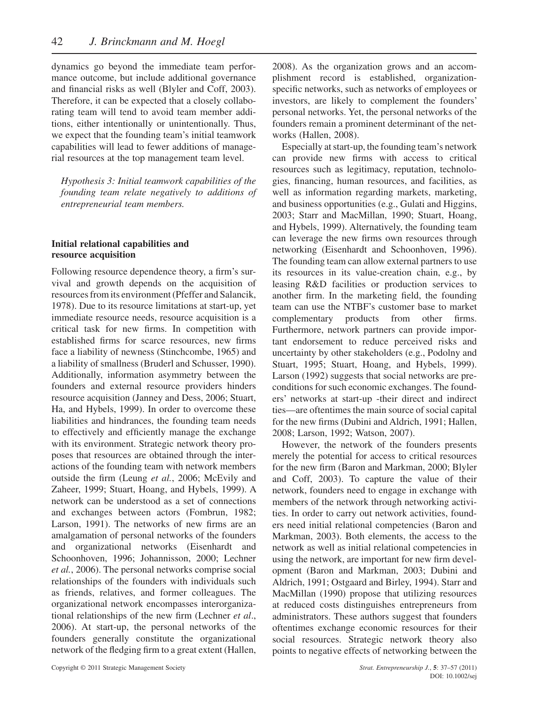dynamics go beyond the immediate team performance outcome, but include additional governance and financial risks as well (Blyler and Coff, 2003). Therefore, it can be expected that a closely collaborating team will tend to avoid team member additions, either intentionally or unintentionally. Thus, we expect that the founding team's initial teamwork capabilities will lead to fewer additions of managerial resources at the top management team level.

*Hypothesis 3: Initial teamwork capabilities of the founding team relate negatively to additions of entrepreneurial team members.*

#### **Initial relational capabilities and resource acquisition**

Following resource dependence theory, a firm's survival and growth depends on the acquisition of resources from its environment (Pfeffer and Salancik, 1978). Due to its resource limitations at start-up, yet immediate resource needs, resource acquisition is a critical task for new firms. In competition with established firms for scarce resources, new firms face a liability of newness (Stinchcombe, 1965) and a liability of smallness (Bruderl and Schusser, 1990). Additionally, information asymmetry between the founders and external resource providers hinders resource acquisition (Janney and Dess, 2006; Stuart, Ha, and Hybels, 1999). In order to overcome these liabilities and hindrances, the founding team needs to effectively and efficiently manage the exchange with its environment. Strategic network theory proposes that resources are obtained through the interactions of the founding team with network members outside the firm (Leung et al., 2006; McEvily and Zaheer, 1999; Stuart, Hoang, and Hybels, 1999). A network can be understood as a set of connections and exchanges between actors (Fombrun, 1982; Larson, 1991). The networks of new firms are an amalgamation of personal networks of the founders and organizational networks (Eisenhardt and Schoonhoven, 1996; Johannisson, 2000; Lechner *et al.*, 2006). The personal networks comprise social relationships of the founders with individuals such as friends, relatives, and former colleagues. The organizational network encompasses interorganizational relationships of the new firm (Lechner *et al.*, 2006). At start-up, the personal networks of the founders generally constitute the organizational network of the fledging firm to a great extent (Hallen,

2008). As the organization grows and an accomplishment record is established, organizationspecific networks, such as networks of employees or investors, are likely to complement the founders' personal networks. Yet, the personal networks of the founders remain a prominent determinant of the networks (Hallen, 2008).

Especially at start-up, the founding team's network can provide new firms with access to critical resources such as legitimacy, reputation, technologies, financing, human resources, and facilities, as well as information regarding markets, marketing, and business opportunities (e.g., Gulati and Higgins, 2003; Starr and MacMillan, 1990; Stuart, Hoang, and Hybels, 1999). Alternatively, the founding team can leverage the new firms own resources through networking (Eisenhardt and Schoonhoven, 1996). The founding team can allow external partners to use its resources in its value-creation chain, e.g., by leasing R&D facilities or production services to another firm. In the marketing field, the founding team can use the NTBF's customer base to market complementary products from other firms. Furthermore, network partners can provide important endorsement to reduce perceived risks and uncertainty by other stakeholders (e.g., Podolny and Stuart, 1995; Stuart, Hoang, and Hybels, 1999). Larson (1992) suggests that social networks are preconditions for such economic exchanges. The founders' networks at start-up -their direct and indirect ties—are oftentimes the main source of social capital for the new firms (Dubini and Aldrich, 1991; Hallen, 2008; Larson, 1992; Watson, 2007).

However, the network of the founders presents merely the potential for access to critical resources for the new firm (Baron and Markman, 2000; Blyler and Coff, 2003). To capture the value of their network, founders need to engage in exchange with members of the network through networking activities. In order to carry out network activities, founders need initial relational competencies (Baron and Markman, 2003). Both elements, the access to the network as well as initial relational competencies in using the network, are important for new firm development (Baron and Markman, 2003; Dubini and Aldrich, 1991; Ostgaard and Birley, 1994). Starr and MacMillan (1990) propose that utilizing resources at reduced costs distinguishes entrepreneurs from administrators. These authors suggest that founders oftentimes exchange economic resources for their social resources. Strategic network theory also points to negative effects of networking between the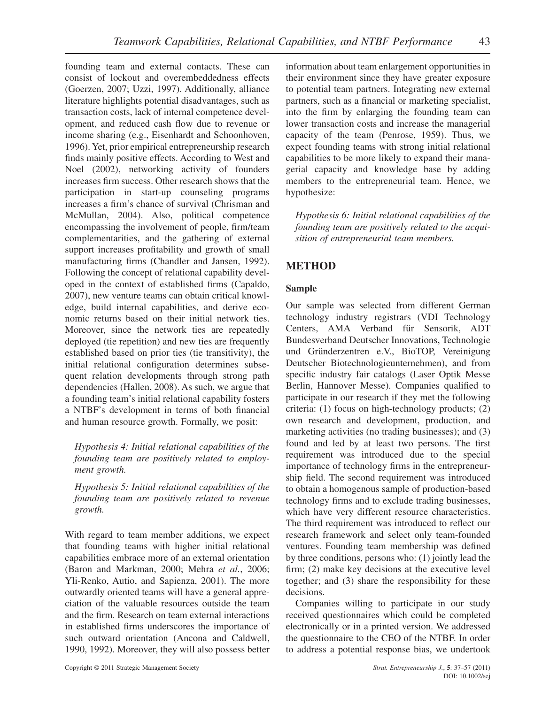founding team and external contacts. These can consist of lockout and overembeddedness effects (Goerzen, 2007; Uzzi, 1997). Additionally, alliance literature highlights potential disadvantages, such as transaction costs, lack of internal competence development, and reduced cash flow due to revenue or income sharing (e.g., Eisenhardt and Schoonhoven, 1996). Yet, prior empirical entrepreneurship research finds mainly positive effects. According to West and Noel (2002), networking activity of founders increases firm success. Other research shows that the participation in start-up counseling programs increases a firm's chance of survival (Chrisman and McMullan, 2004). Also, political competence encompassing the involvement of people, firm/team complementarities, and the gathering of external support increases profitability and growth of small manufacturing firms (Chandler and Jansen, 1992). Following the concept of relational capability developed in the context of established firms (Capaldo, 2007), new venture teams can obtain critical knowledge, build internal capabilities, and derive economic returns based on their initial network ties. Moreover, since the network ties are repeatedly deployed (tie repetition) and new ties are frequently established based on prior ties (tie transitivity), the initial relational configuration determines subsequent relation developments through strong path dependencies (Hallen, 2008). As such, we argue that a founding team's initial relational capability fosters a NTBF's development in terms of both financial and human resource growth. Formally, we posit:

*Hypothesis 4: Initial relational capabilities of the founding team are positively related to employment growth.*

*Hypothesis 5: Initial relational capabilities of the founding team are positively related to revenue growth.*

With regard to team member additions, we expect that founding teams with higher initial relational canabilities embrace more of an external orientation (Baron and Markman, 2000; Mehra *et al.*, 2006; Yli-Renko, Autio, and Sapienza, 2001). The more outwardly oriented teams will have a general appreciation of the valuable resources outside the team and the firm. Research on team external interactions in established firms underscores the importance of such outward orientation (Ancona and Caldwell, 1990, 1992). Moreover, they will also possess better

information about team enlargement opportunities in their environment since they have greater exposure to potential team partners. Integrating new external partners, such as a financial or marketing specialist, into the firm by enlarging the founding team can lower transaction costs and increase the managerial capacity of the team (Penrose, 1959). Thus, we expect founding teams with strong initial relational capabilities to be more likely to expand their managerial capacity and knowledge base by adding members to the entrepreneurial team. Hence, we hypothesize:

*Hypothesis 6: Initial relational capabilities of the founding team are positively related to the acquisition of entrepreneurial team members.*

### **METHOD**

### **Sample**

Our sample was selected from different German technology industry registrars (VDI Technology Centers, AMA Verband für Sensorik, ADT Bundesverband Deutscher Innovations, Technologie und Gründerzentren e.V., BioTOP, Vereinigung Deutscher Biotechnologieunternehmen), and from specific industry fair catalogs (Laser Optik Messe Berlin, Hannover Messe). Companies qualified to participate in our research if they met the following criteria: (1) focus on high-technology products; (2) own research and development, production, and marketing activities (no trading businesses); and (3) found and led by at least two persons. The first requirement was introduced due to the special importance of technology firms in the entrepreneurship field. The second requirement was introduced to obtain a homogenous sample of production-based technology firms and to exclude trading businesses, which have very different resource characteristics. The third requirement was introduced to reflect our research framework and select only team-founded ventures. Founding team membership was defined by three conditions, persons who: (1) jointly lead the firm; (2) make key decisions at the executive level together; and (3) share the responsibility for these decisions.

Companies willing to participate in our study received questionnaires which could be completed electronically or in a printed version. We addressed the questionnaire to the CEO of the NTBF. In order to address a potential response bias, we undertook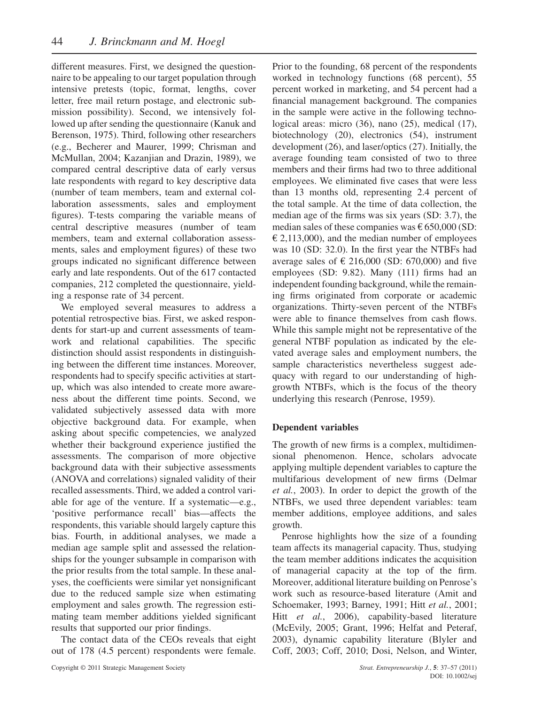different measures. First, we designed the questionnaire to be appealing to our target population through intensive pretests (topic, format, lengths, cover letter, free mail return postage, and electronic submission possibility). Second, we intensively followed up after sending the questionnaire (Kanuk and Berenson, 1975). Third, following other researchers (e.g., Becherer and Maurer, 1999; Chrisman and McMullan, 2004; Kazanjian and Drazin, 1989), we compared central descriptive data of early versus late respondents with regard to key descriptive data (number of team members, team and external collaboration assessments, sales and employment figures). T-tests comparing the variable means of central descriptive measures (number of team members, team and external collaboration assessments, sales and employment figures) of these two groups indicated no significant difference between early and late respondents. Out of the 617 contacted companies, 212 completed the questionnaire, yielding a response rate of 34 percent.

We employed several measures to address a potential retrospective bias. First, we asked respondents for start-up and current assessments of teamwork and relational capabilities. The specific distinction should assist respondents in distinguishing between the different time instances. Moreover, respondents had to specify specific activities at startup, which was also intended to create more awareness about the different time points. Second, we validated subjectively assessed data with more objective background data. For example, when asking about specific competencies, we analyzed whether their background experience justified the assessments. The comparison of more objective background data with their subjective assessments (ANOVA and correlations) signaled validity of their recalled assessments. Third, we added a control variable for age of the venture. If a systematic—e.g., 'positive performance recall' bias—affects the respondents, this variable should largely capture this bias. Fourth, in additional analyses, we made a median age sample split and assessed the relationships for the younger subsample in comparison with the prior results from the total sample. In these analyses, the coefficients were similar yet nonsignificant due to the reduced sample size when estimating employment and sales growth. The regression estimating team member additions yielded significant results that supported our prior findings.

The contact data of the CEOs reveals that eight out of 178 (4.5 percent) respondents were female.

Prior to the founding, 68 percent of the respondents worked in technology functions (68 percent), 55 percent worked in marketing, and 54 percent had a financial management background. The companies in the sample were active in the following technological areas: micro (36), nano (25), medical (17), biotechnology (20), electronics (54), instrument development (26), and laser/optics (27). Initially, the average founding team consisted of two to three members and their firms had two to three additional employees. We eliminated five cases that were less than 13 months old, representing 2.4 percent of the total sample. At the time of data collection, the median age of the firms was six years  $(SD: 3.7)$ , the median sales of these companies was  $\epsilon$  650,000 (SD:  $\epsilon$  2,113,000), and the median number of employees was 10 (SD: 32.0). In the first year the NTBFs had average sales of  $\epsilon$  216,000 (SD: 670,000) and five employees  $(SD: 9.82)$ . Many  $(111)$  firms had an independent founding background, while the remaining firms originated from corporate or academic organizations. Thirty-seven percent of the NTBFs were able to finance themselves from cash flows. While this sample might not be representative of the general NTBF population as indicated by the elevated average sales and employment numbers, the sample characteristics nevertheless suggest adequacy with regard to our understanding of highgrowth NTBFs, which is the focus of the theory underlying this research (Penrose, 1959).

#### **Dependent variables**

The growth of new firms is a complex, multidimensional phenomenon. Hence, scholars advocate applying multiple dependent variables to capture the multifarious development of new firms (Delmar *et al.*, 2003). In order to depict the growth of the NTBFs, we used three dependent variables: team member additions, employee additions, and sales growth.

Penrose highlights how the size of a founding team affects its managerial capacity. Thus, studying the team member additions indicates the acquisition of managerial capacity at the top of the firm. Moreover, additional literature building on Penrose's work such as resource-based literature (Amit and Schoemaker, 1993; Barney, 1991; Hitt *et al.*, 2001; Hitt *et al.*, 2006), capability-based literature (McEvily, 2005; Grant, 1996; Helfat and Peteraf, 2003), dynamic capability literature (Blyler and Coff, 2003; Coff, 2010; Dosi, Nelson, and Winter,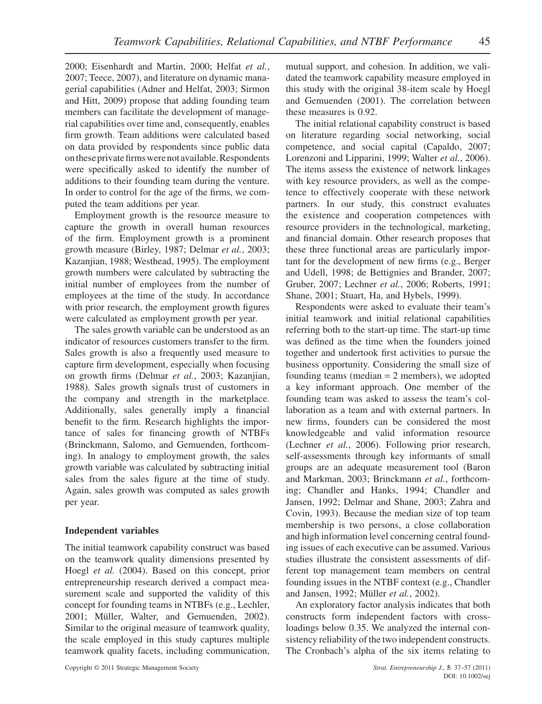2000; Eisenhardt and Martin, 2000; Helfat *et al.*, 2007; Teece, 2007), and literature on dynamic managerial capabilities (Adner and Helfat, 2003; Sirmon and Hitt, 2009) propose that adding founding team members can facilitate the development of managerial capabilities over time and, consequently, enables firm growth. Team additions were calculated based on data provided by respondents since public data on these private firms were not available. Respondents were specifically asked to identify the number of additions to their founding team during the venture. In order to control for the age of the firms, we computed the team additions per year.

Employment growth is the resource measure to capture the growth in overall human resources of the firm. Employment growth is a prominent growth measure (Birley, 1987; Delmar *et al.*, 2003; Kazanjian, 1988; Westhead, 1995). The employment growth numbers were calculated by subtracting the initial number of employees from the number of employees at the time of the study. In accordance with prior research, the employment growth figures were calculated as employment growth per year.

The sales growth variable can be understood as an indicator of resources customers transfer to the firm. Sales growth is also a frequently used measure to capture firm development, especially when focusing on growth firms (Delmar et al., 2003; Kazanjian, 1988). Sales growth signals trust of customers in the company and strength in the marketplace. Additionally, sales generally imply a financial benefit to the firm. Research highlights the importance of sales for financing growth of NTBFs (Brinckmann, Salomo, and Gemuenden, forthcoming). In analogy to employment growth, the sales growth variable was calculated by subtracting initial sales from the sales figure at the time of study. Again, sales growth was computed as sales growth per year.

#### **Independent variables**

The initial teamwork capability construct was based on the teamwork quality dimensions presented by Hoegl *et al.* (2004). Based on this concept, prior entrepreneurship research derived a compact measurement scale and supported the validity of this concept for founding teams in NTBFs (e.g., Lechler, 2001; Müller, Walter, and Gemuenden, 2002). Similar to the original measure of teamwork quality, the scale employed in this study captures multiple teamwork quality facets, including communication,

Copyright © 2011 Strategic Management Society *Strat. Entrepreneurship J.*, **5**: 37–57 (2011)

mutual support, and cohesion. In addition, we validated the teamwork capability measure employed in this study with the original 38-item scale by Hoegl and Gemuenden (2001). The correlation between these measures is 0.92.

The initial relational capability construct is based on literature regarding social networking, social competence, and social capital (Capaldo, 2007; Lorenzoni and Lipparini, 1999; Walter *et al.*, 2006). The items assess the existence of network linkages with key resource providers, as well as the competence to effectively cooperate with these network partners. In our study, this construct evaluates the existence and cooperation competences with resource providers in the technological, marketing, and financial domain. Other research proposes that these three functional areas are particularly important for the development of new firms (e.g., Berger and Udell, 1998; de Bettignies and Brander, 2007; Gruber, 2007; Lechner *et al.*, 2006; Roberts, 1991; Shane, 2001; Stuart, Ha, and Hybels, 1999).

Respondents were asked to evaluate their team's initial teamwork and initial relational capabilities referring both to the start-up time. The start-up time was defined as the time when the founders joined together and undertook first activities to pursue the business opportunity. Considering the small size of founding teams (median  $= 2$  members), we adopted a key informant approach. One member of the founding team was asked to assess the team's collaboration as a team and with external partners. In new firms, founders can be considered the most knowledgeable and valid information resource (Lechner *et al.*, 2006). Following prior research, self-assessments through key informants of small groups are an adequate measurement tool (Baron and Markman, 2003; Brinckmann *et al.*, forthcoming; Chandler and Hanks, 1994; Chandler and Jansen, 1992; Delmar and Shane, 2003; Zahra and Covin, 1993). Because the median size of top team membership is two persons, a close collaboration and high information level concerning central founding issues of each executive can be assumed. Various studies illustrate the consistent assessments of different top management team members on central founding issues in the NTBF context (e.g., Chandler and Jansen, 1992; Müller *et al.*, 2002).

An exploratory factor analysis indicates that both constructs form independent factors with crossloadings below 0.35. We analyzed the internal consistency reliability of the two independent constructs. The Cronbach's alpha of the six items relating to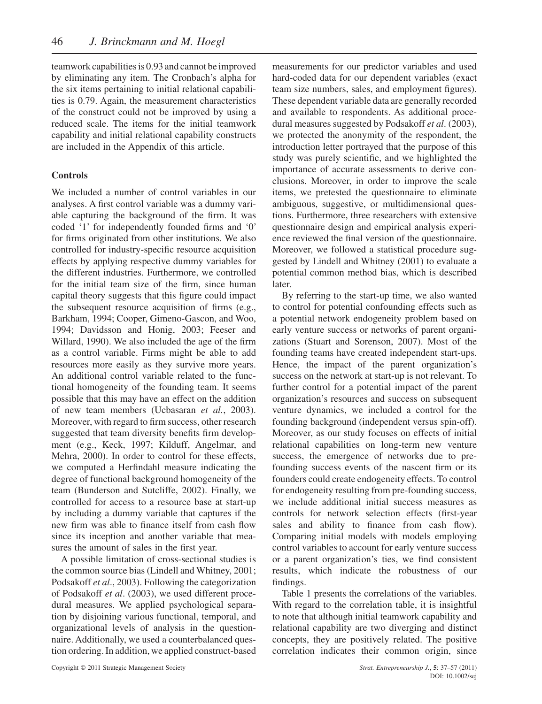teamwork capabilities is 0.93 and cannot be improved by eliminating any item. The Cronbach's alpha for the six items pertaining to initial relational capabilities is 0.79. Again, the measurement characteristics of the construct could not be improved by using a reduced scale. The items for the initial teamwork capability and initial relational capability constructs are included in the Appendix of this article.

#### **Controls**

We included a number of control variables in our analyses. A first control variable was a dummy variable capturing the background of the firm. It was coded '1' for independently founded firms and '0' for firms originated from other institutions. We also controlled for industry-specific resource acquisition effects by applying respective dummy variables for the different industries. Furthermore, we controlled for the initial team size of the firm, since human capital theory suggests that this figure could impact the subsequent resource acquisition of firms (e.g., Barkham, 1994; Cooper, Gimeno-Gascon, and Woo, 1994; Davidsson and Honig, 2003; Feeser and Willard, 1990). We also included the age of the firm as a control variable. Firms might be able to add resources more easily as they survive more years. An additional control variable related to the functional homogeneity of the founding team. It seems possible that this may have an effect on the addition of new team members (Ucbasaran *et al.*, 2003). Moreover, with regard to firm success, other research suggested that team diversity benefits firm development (e.g., Keck, 1997; Kilduff, Angelmar, and Mehra, 2000). In order to control for these effects, we computed a Herfindahl measure indicating the degree of functional background homogeneity of the team (Bunderson and Sutcliffe, 2002). Finally, we controlled for access to a resource base at start-up by including a dummy variable that captures if the new firm was able to finance itself from cash flow since its inception and another variable that measures the amount of sales in the first year.

A possible limitation of cross-sectional studies is the common source bias (Lindell and Whitney, 2001; Podsakoff *et al*., 2003). Following the categorization of Podsakoff *et al*. (2003), we used different procedural measures. We applied psychological separation by disjoining various functional, temporal, and organizational levels of analysis in the questionnaire. Additionally, we used a counterbalanced question ordering. In addition, we applied construct-based measurements for our predictor variables and used hard-coded data for our dependent variables (exact team size numbers, sales, and employment figures). These dependent variable data are generally recorded and available to respondents. As additional procedural measures suggested by Podsakoff *et al*. (2003), we protected the anonymity of the respondent, the introduction letter portrayed that the purpose of this study was purely scientific, and we highlighted the importance of accurate assessments to derive conclusions. Moreover, in order to improve the scale items, we pretested the questionnaire to eliminate ambiguous, suggestive, or multidimensional questions. Furthermore, three researchers with extensive questionnaire design and empirical analysis experience reviewed the final version of the questionnaire. Moreover, we followed a statistical procedure suggested by Lindell and Whitney (2001) to evaluate a potential common method bias, which is described later.

By referring to the start-up time, we also wanted to control for potential confounding effects such as a potential network endogeneity problem based on early venture success or networks of parent organizations (Stuart and Sorenson, 2007). Most of the founding teams have created independent start-ups. Hence, the impact of the parent organization's success on the network at start-up is not relevant. To further control for a potential impact of the parent organization's resources and success on subsequent venture dynamics, we included a control for the founding background (independent versus spin-off). Moreover, as our study focuses on effects of initial relational capabilities on long-term new venture success, the emergence of networks due to prefounding success events of the nascent firm or its founders could create endogeneity effects. To control for endogeneity resulting from pre-founding success, we include additional initial success measures as controls for network selection effects (first-year sales and ability to finance from cash flow). Comparing initial models with models employing control variables to account for early venture success or a parent organization's ties, we find consistent results, which indicate the robustness of our findings.

Table 1 presents the correlations of the variables. With regard to the correlation table, it is insightful to note that although initial teamwork capability and relational capability are two diverging and distinct concepts, they are positively related. The positive correlation indicates their common origin, since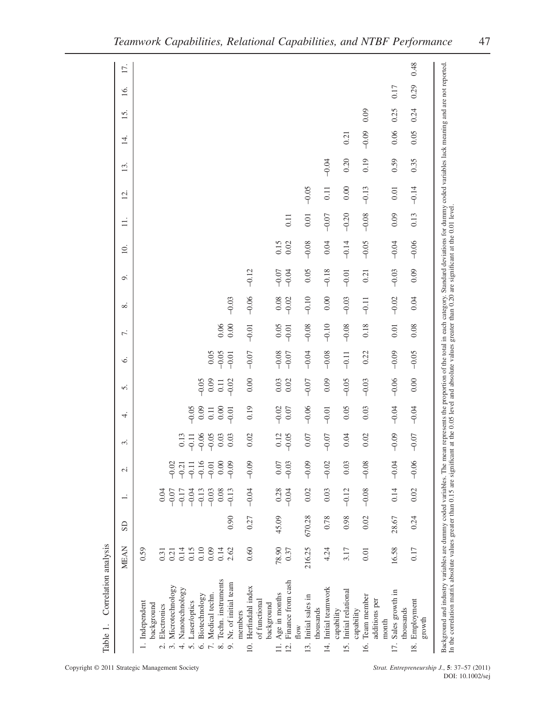| Correlation analysis<br>Table 1.                                                                                                                                                                                                   |        |             |            |         |         |         |          |         |                  |         |         |                   |                                                                                                                                                       |                |          |         |      |      |      |
|------------------------------------------------------------------------------------------------------------------------------------------------------------------------------------------------------------------------------------|--------|-------------|------------|---------|---------|---------|----------|---------|------------------|---------|---------|-------------------|-------------------------------------------------------------------------------------------------------------------------------------------------------|----------------|----------|---------|------|------|------|
|                                                                                                                                                                                                                                    | MEAN   | $_{\rm SD}$ | $\ddot{ }$ | $\sim$  | 3.      | 4.      | 'n       | Ö       | $\overline{r}$ . | ∞ं      | ö       | $\overline{10}$ . | $\exists$                                                                                                                                             | $\overline{5}$ | <u>్</u> | 4.      | 15.  | 16.  | 17.  |
| 1. Independent<br>background                                                                                                                                                                                                       | 0.59   |             |            |         |         |         |          |         |                  |         |         |                   |                                                                                                                                                       |                |          |         |      |      |      |
| Electronics<br>Σ,                                                                                                                                                                                                                  | 0.31   |             | 0.04       |         |         |         |          |         |                  |         |         |                   |                                                                                                                                                       |                |          |         |      |      |      |
| Microtechnology                                                                                                                                                                                                                    | 0.21   |             | $-0.07$    | $-0.02$ |         |         |          |         |                  |         |         |                   |                                                                                                                                                       |                |          |         |      |      |      |
| Nanotechnology<br>$\ddot{4}$                                                                                                                                                                                                       | 0.14   |             | $-0.17$    | $-0.21$ | 0.13    |         |          |         |                  |         |         |                   |                                                                                                                                                       |                |          |         |      |      |      |
| Laser/optics<br>$\overline{5}$                                                                                                                                                                                                     | 0.15   |             | $-0.04$    | $-0.11$ | $-0.11$ | $-0.05$ |          |         |                  |         |         |                   |                                                                                                                                                       |                |          |         |      |      |      |
| Biotechnology<br>$\circ$                                                                                                                                                                                                           | 0.10   |             |            | $-0.16$ | $-0.06$ | 0.09    | $-0.05$  |         |                  |         |         |                   |                                                                                                                                                       |                |          |         |      |      |      |
| 7. Medical techn                                                                                                                                                                                                                   | 0.09   |             | $-0.13$    | $-0.01$ | $-0.05$ | 0.11    | 0.09     | 0.05    |                  |         |         |                   |                                                                                                                                                       |                |          |         |      |      |      |
| Techn. instruments<br>$\infty$                                                                                                                                                                                                     | 0.14   |             | $0.08\,$   | 0.00    | 0.03    | 0.00    | 0.11     | $-0.05$ | 0.06             |         |         |                   |                                                                                                                                                       |                |          |         |      |      |      |
| 9. Nr. of initial team                                                                                                                                                                                                             | 2.62   | 0.90        | $-0.13$    | $-0.09$ | 0.03    | $-0.01$ | $-0.02$  | $-0.01$ | 0.00             | $-0.03$ |         |                   |                                                                                                                                                       |                |          |         |      |      |      |
| members                                                                                                                                                                                                                            |        |             |            |         |         |         |          |         |                  |         |         |                   |                                                                                                                                                       |                |          |         |      |      |      |
| 10. Herfindahl index                                                                                                                                                                                                               | 0.60   | 0.27        | $-0.04$    | $-0.09$ | 0.02    | 0.19    | 0.00     | $-0.07$ | $-0.01$          | $-0.06$ | $-0.12$ |                   |                                                                                                                                                       |                |          |         |      |      |      |
| of functional                                                                                                                                                                                                                      |        |             |            |         |         |         |          |         |                  |         |         |                   |                                                                                                                                                       |                |          |         |      |      |      |
| background                                                                                                                                                                                                                         |        |             |            |         |         |         |          |         |                  |         |         |                   |                                                                                                                                                       |                |          |         |      |      |      |
| 11. Age in months                                                                                                                                                                                                                  | 78.90  | 45.09       | 0.28       | $0.07$  | 0.12    | $-0.02$ | 0.03     | $-0.08$ | 0.05             | 0.08    | $-0.07$ | 0.15              |                                                                                                                                                       |                |          |         |      |      |      |
| Finance from cash<br>$\overline{12}$                                                                                                                                                                                               | 0.37   |             | $-0.04$    | $-0.03$ | $-0.05$ | 0.07    | 0.02     | $-0.07$ | $-0.01$          | $-0.02$ | $-0.04$ | 0.02              | 0.11                                                                                                                                                  |                |          |         |      |      |      |
| flow                                                                                                                                                                                                                               |        |             |            |         |         |         |          |         |                  |         |         |                   |                                                                                                                                                       |                |          |         |      |      |      |
| Initial sales in<br>13.                                                                                                                                                                                                            | 216.25 | 670.28      | 0.02       | $-0.09$ | 0.07    | $-0.06$ | $-0.07$  | $-0.04$ | $-0.08$          | $-0.10$ | 0.05    | $-0.08$           | 0.01                                                                                                                                                  | $-0.05$        |          |         |      |      |      |
| thousands                                                                                                                                                                                                                          |        |             |            |         |         |         |          |         |                  |         |         |                   |                                                                                                                                                       |                |          |         |      |      |      |
| Initial teamwork<br>$\overline{14}$ .                                                                                                                                                                                              | 4.24   | 0.78        | 0.03       | $-0.02$ | $-0.07$ | $-0.01$ | 0.09     | $-0.08$ | $-0.10$          | 0.00    | $-0.18$ | 0.04              | $-0.07$                                                                                                                                               | 0.11           | $-0.04$  |         |      |      |      |
| capability                                                                                                                                                                                                                         |        |             |            |         |         |         |          |         |                  |         |         |                   |                                                                                                                                                       |                |          |         |      |      |      |
| Initial relational<br>15.                                                                                                                                                                                                          | 3.17   | 0.98        | $-0.12$    | 0.03    | 0.04    | 0.05    | $-0.05$  | $-0.11$ | $-0.08$          | $-0.03$ | $-0.01$ | $-0.14$           | $-0.20$                                                                                                                                               | 0.00           | 0.20     | 0.21    |      |      |      |
| capability                                                                                                                                                                                                                         |        |             |            |         |         |         |          |         |                  |         |         |                   |                                                                                                                                                       |                |          |         |      |      |      |
| Team member<br>16.                                                                                                                                                                                                                 | 0.01   | 0.02        | $-0.08$    | $-0.08$ | 0.02    | 0.03    | $-0.03$  | 0.22    | 0.18             | $-0.11$ | 0.21    | $-0.05$           | $-0.08$                                                                                                                                               | $-0.13$        | 0.19     | $-0.09$ | 0.09 |      |      |
| additions per                                                                                                                                                                                                                      |        |             |            |         |         |         |          |         |                  |         |         |                   |                                                                                                                                                       |                |          |         |      |      |      |
| month                                                                                                                                                                                                                              |        |             |            |         |         |         |          |         |                  |         |         |                   |                                                                                                                                                       |                |          |         |      |      |      |
| Sales growth in<br>L.                                                                                                                                                                                                              | 16.58  | 28.67       | 0.14       | $-0.04$ | $-0.09$ | $-0.04$ | $-0.06$  | $-0.09$ | 0.01             | $-0.02$ | $-0.03$ | $-0.04$           | 0.09                                                                                                                                                  | 0.01           | 0.59     | 0.06    | 0.25 | 0.17 |      |
| thousands                                                                                                                                                                                                                          |        |             |            |         |         |         |          |         |                  |         |         |                   |                                                                                                                                                       |                |          |         |      |      |      |
| Employment<br>18.                                                                                                                                                                                                                  | 0.17   | 0.24        | 0.02       | $-0.06$ | $-0.07$ | $-0.04$ | $0.00\,$ | $-0.05$ | 0.08             | 0.04    | 0.09    | $-0.06$           | 0.13                                                                                                                                                  | $-0.14$        | 0.35     | 0.05    | 0.24 | 0.29 | 0.48 |
| growth                                                                                                                                                                                                                             |        |             |            |         |         |         |          |         |                  |         |         |                   |                                                                                                                                                       |                |          |         |      |      |      |
|                                                                                                                                                                                                                                    |        |             |            |         |         |         |          |         |                  |         |         |                   |                                                                                                                                                       |                |          |         |      |      |      |
| In the correlation matrix absolute values greater than 0.15 are significant at the 0.05 level and absolute values greater than 0.20 are significant at the 0.01 level<br>Background and industry variables are dummy coded variabl |        |             |            |         |         |         |          |         |                  |         |         |                   | es. The mean represents the proportion of the total in each category. Standard deviations for dummy coded variables lack meaning and are not reported |                |          |         |      |      |      |

Copyright © 2011 Strategic Management Society *Strat. Entrepreneurship J.*, **5**: 37–57 (2011)

DOI: 10.1002/sej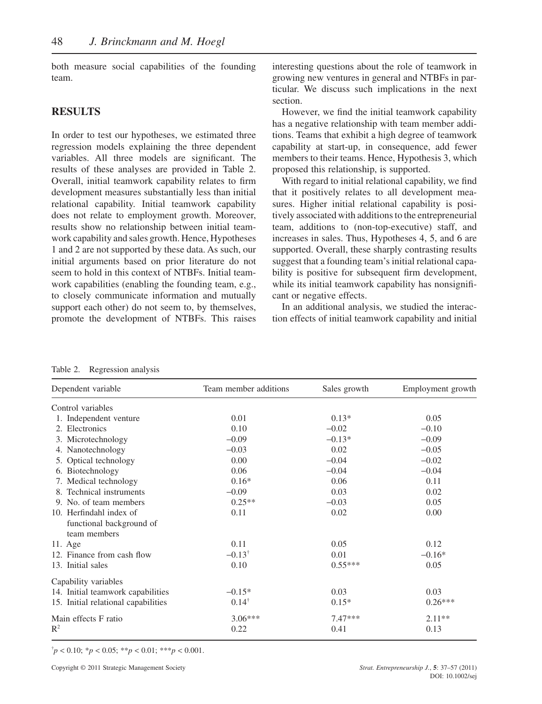both measure social capabilities of the founding team.

### **RESULTS**

In order to test our hypotheses, we estimated three regression models explaining the three dependent variables. All three models are significant. The results of these analyses are provided in Table 2. Overall, initial teamwork capability relates to firm development measures substantially less than initial relational capability. Initial teamwork capability does not relate to employment growth. Moreover, results show no relationship between initial teamwork capability and sales growth. Hence, Hypotheses 1 and 2 are not supported by these data. As such, our initial arguments based on prior literature do not seem to hold in this context of NTBFs. Initial teamwork capabilities (enabling the founding team, e.g., to closely communicate information and mutually support each other) do not seem to, by themselves, promote the development of NTBFs. This raises

interesting questions about the role of teamwork in growing new ventures in general and NTBFs in particular. We discuss such implications in the next section.

However, we find the initial teamwork capability has a negative relationship with team member additions. Teams that exhibit a high degree of teamwork capability at start-up, in consequence, add fewer members to their teams. Hence, Hypothesis 3, which proposed this relationship, is supported.

With regard to initial relational capability, we find that it positively relates to all development measures. Higher initial relational capability is positively associated with additions to the entrepreneurial team, additions to (non-top-executive) staff, and increases in sales. Thus, Hypotheses 4, 5, and 6 are supported. Overall, these sharply contrasting results suggest that a founding team's initial relational capability is positive for subsequent firm development, while its initial teamwork capability has nonsignificant or negative effects.

In an additional analysis, we studied the interaction effects of initial teamwork capability and initial

| Dependent variable                       | Team member additions | Sales growth | Employment growth |
|------------------------------------------|-----------------------|--------------|-------------------|
| Control variables                        |                       |              |                   |
| 1. Independent venture                   | 0.01                  | $0.13*$      | 0.05              |
| 2. Electronics                           | 0.10                  | $-0.02$      | $-0.10$           |
| 3. Microtechnology                       | $-0.09$               | $-0.13*$     | $-0.09$           |
| 4. Nanotechnology                        | $-0.03$               | 0.02         | $-0.05$           |
| 5. Optical technology                    | 0.00                  | $-0.04$      | $-0.02$           |
| 6. Biotechnology                         | 0.06                  | $-0.04$      | $-0.04$           |
| 7. Medical technology                    | $0.16*$               | 0.06         | 0.11              |
| 8. Technical instruments                 | $-0.09$               | 0.03         | 0.02              |
| 9. No. of team members                   | $0.25**$              | $-0.03$      | 0.05              |
| 10. Herfindahl index of                  | 0.11                  | 0.02         | 0.00              |
| functional background of<br>team members |                       |              |                   |
| 11. Age                                  | 0.11                  | 0.05         | 0.12              |
| 12. Finance from cash flow               | $-0.13^{\dagger}$     | 0.01         | $-0.16*$          |
| 13. Initial sales                        | 0.10                  | $0.55***$    | 0.05              |
| Capability variables                     |                       |              |                   |
| 14. Initial teamwork capabilities        | $-0.15*$              | 0.03         | 0.03              |
| 15. Initial relational capabilities      | $0.14^{\dagger}$      | $0.15*$      | $0.26***$         |
| Main effects F ratio                     | $3.06***$             | $7.47***$    | $2.11**$          |
| $R^2$                                    | 0.22                  | 0.41         | 0.13              |

Table 2. Regression analysis

† *p* < 0.10; \**p* < 0.05; \*\**p* < 0.01; \*\*\**p* < 0.001.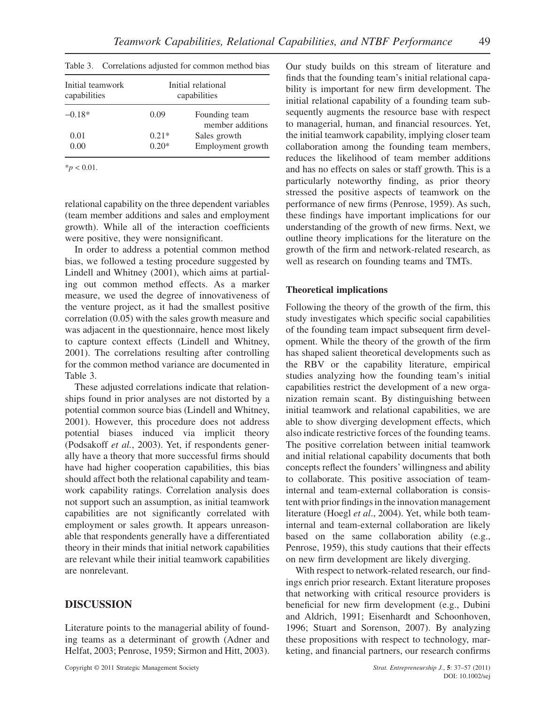| Initial teamwork<br>capabilities | Initial relational<br>capabilities |                                   |
|----------------------------------|------------------------------------|-----------------------------------|
| $-0.18*$                         | 0.09                               | Founding team<br>member additions |
| 0.01                             | $0.21*$                            | Sales growth                      |
| 0.00                             | $0.20*$                            | Employment growth                 |

Table 3. Correlations adjusted for common method bias

 $*_{p}$  < 0.01.

relational capability on the three dependent variables (team member additions and sales and employment growth). While all of the interaction coefficients were positive, they were nonsignificant.

In order to address a potential common method bias, we followed a testing procedure suggested by Lindell and Whitney (2001), which aims at partialing out common method effects. As a marker measure, we used the degree of innovativeness of the venture project, as it had the smallest positive correlation (0.05) with the sales growth measure and was adjacent in the questionnaire, hence most likely to capture context effects (Lindell and Whitney, 2001). The correlations resulting after controlling for the common method variance are documented in Table 3.

These adjusted correlations indicate that relationships found in prior analyses are not distorted by a potential common source bias (Lindell and Whitney, 2001). However, this procedure does not address potential biases induced via implicit theory (Podsakoff *et al.*, 2003). Yet, if respondents generally have a theory that more successful firms should have had higher cooperation capabilities, this bias should affect both the relational capability and teamwork capability ratings. Correlation analysis does not support such an assumption, as initial teamwork capabilities are not significantly correlated with employment or sales growth. It appears unreasonable that respondents generally have a differentiated theory in their minds that initial network capabilities are relevant while their initial teamwork capabilities are nonrelevant.

#### **DISCUSSION**

Literature points to the managerial ability of founding teams as a determinant of growth (Adner and Helfat, 2003; Penrose, 1959; Sirmon and Hitt, 2003). Our study builds on this stream of literature and finds that the founding team's initial relational capability is important for new firm development. The initial relational capability of a founding team subsequently augments the resource base with respect to managerial, human, and financial resources. Yet, the initial teamwork capability, implying closer team collaboration among the founding team members, reduces the likelihood of team member additions and has no effects on sales or staff growth. This is a particularly noteworthy finding, as prior theory stressed the positive aspects of teamwork on the performance of new firms (Penrose, 1959). As such, these findings have important implications for our understanding of the growth of new firms. Next, we outline theory implications for the literature on the growth of the firm and network-related research, as well as research on founding teams and TMTs.

#### **Theoretical implications**

Following the theory of the growth of the firm, this study investigates which specific social capabilities of the founding team impact subsequent firm development. While the theory of the growth of the firm has shaped salient theoretical developments such as the RBV or the capability literature, empirical studies analyzing how the founding team's initial capabilities restrict the development of a new organization remain scant. By distinguishing between initial teamwork and relational capabilities, we are able to show diverging development effects, which also indicate restrictive forces of the founding teams. The positive correlation between initial teamwork and initial relational capability documents that both concepts reflect the founders' willingness and ability to collaborate. This positive association of teaminternal and team-external collaboration is consistent with prior findings in the innovation management literature (Hoegl *et al*., 2004). Yet, while both teaminternal and team-external collaboration are likely based on the same collaboration ability (e.g., Penrose, 1959), this study cautions that their effects on new firm development are likely diverging.

With respect to network-related research, our findings enrich prior research. Extant literature proposes that networking with critical resource providers is beneficial for new firm development (e.g., Dubini and Aldrich, 1991; Eisenhardt and Schoonhoven, 1996; Stuart and Sorenson, 2007). By analyzing these propositions with respect to technology, marketing, and financial partners, our research confirms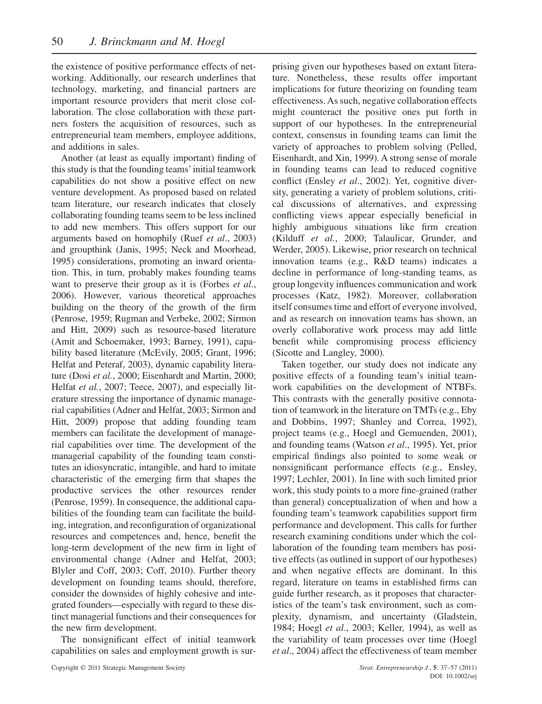the existence of positive performance effects of networking. Additionally, our research underlines that technology, marketing, and financial partners are important resource providers that merit close collaboration. The close collaboration with these partners fosters the acquisition of resources, such as entrepreneurial team members, employee additions, and additions in sales.

Another (at least as equally important) finding of this study is that the founding teams' initial teamwork capabilities do not show a positive effect on new venture development. As proposed based on related team literature, our research indicates that closely collaborating founding teams seem to be less inclined to add new members. This offers support for our arguments based on homophily (Ruef *et al*., 2003) and groupthink (Janis, 1995; Neck and Moorhead, 1995) considerations, promoting an inward orientation. This, in turn, probably makes founding teams want to preserve their group as it is (Forbes *et al*., 2006). However, various theoretical approaches building on the theory of the growth of the firm (Penrose, 1959; Rugman and Verbeke, 2002; Sirmon and Hitt, 2009) such as resource-based literature (Amit and Schoemaker, 1993; Barney, 1991), capability based literature (McEvily, 2005; Grant, 1996; Helfat and Peteraf, 2003), dynamic capability literature (Dosi *et al.*, 2000; Eisenhardt and Martin, 2000; Helfat *et al.*, 2007; Teece, 2007), and especially literature stressing the importance of dynamic managerial capabilities (Adner and Helfat, 2003; Sirmon and Hitt, 2009) propose that adding founding team members can facilitate the development of managerial capabilities over time. The development of the managerial capability of the founding team constitutes an idiosyncratic, intangible, and hard to imitate characteristic of the emerging firm that shapes the productive services the other resources render (Penrose, 1959). In consequence, the additional capabilities of the founding team can facilitate the building, integration, and reconfiguration of organizational resources and competences and, hence, benefit the long-term development of the new firm in light of environmental change (Adner and Helfat, 2003; Blyler and Coff, 2003; Coff, 2010). Further theory development on founding teams should, therefore, consider the downsides of highly cohesive and integrated founders—especially with regard to these distinct managerial functions and their consequences for the new firm development.

The nonsignificant effect of initial teamwork capabilities on sales and employment growth is surprising given our hypotheses based on extant literature. Nonetheless, these results offer important implications for future theorizing on founding team effectiveness. As such, negative collaboration effects might counteract the positive ones put forth in support of our hypotheses. In the entrepreneurial context, consensus in founding teams can limit the variety of approaches to problem solving (Pelled, Eisenhardt, and Xin, 1999). A strong sense of morale in founding teams can lead to reduced cognitive conflict (Ensley *et al.*, 2002). Yet, cognitive diversity, generating a variety of problem solutions, critical discussions of alternatives, and expressing conflicting views appear especially beneficial in highly ambiguous situations like firm creation (Kilduff *et al.*, 2000; Talaulicar, Grunder, and Werder, 2005). Likewise, prior research on technical innovation teams (e.g., R&D teams) indicates a decline in performance of long-standing teams, as group longevity influences communication and work processes (Katz, 1982). Moreover, collaboration itself consumes time and effort of everyone involved, and as research on innovation teams has shown, an overly collaborative work process may add little benefit while compromising process efficiency (Sicotte and Langley, 2000).

Taken together, our study does not indicate any positive effects of a founding team's initial teamwork capabilities on the development of NTBFs. This contrasts with the generally positive connotation of teamwork in the literature on TMTs (e.g., Eby and Dobbins, 1997; Shanley and Correa, 1992), project teams (e.g., Hoegl and Gemuenden, 2001), and founding teams (Watson *et al*., 1995). Yet, prior empirical findings also pointed to some weak or nonsignificant performance effects (e.g., Ensley, 1997; Lechler, 2001). In line with such limited prior work, this study points to a more fine-grained (rather than general) conceptualization of when and how a founding team's teamwork capabilities support firm performance and development. This calls for further research examining conditions under which the collaboration of the founding team members has positive effects (as outlined in support of our hypotheses) and when negative effects are dominant. In this regard, literature on teams in established firms can guide further research, as it proposes that characteristics of the team's task environment, such as complexity, dynamism, and uncertainty (Gladstein, 1984; Hoegl *et al*., 2003; Keller, 1994), as well as the variability of team processes over time (Hoegl *et al*., 2004) affect the effectiveness of team member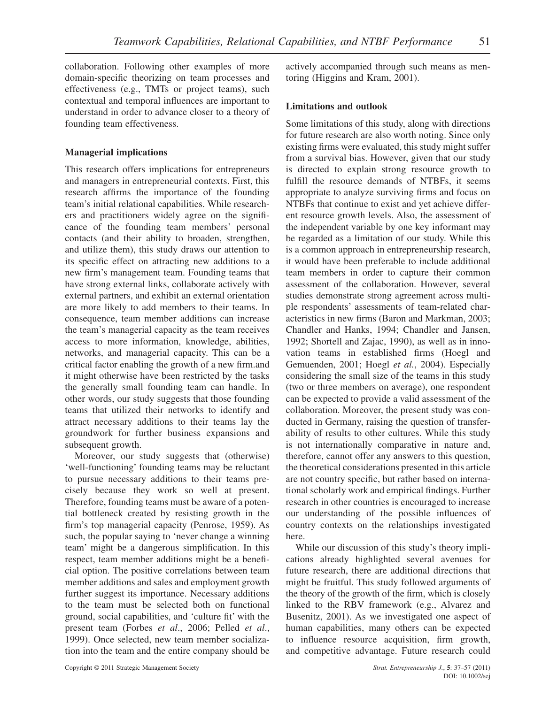collaboration. Following other examples of more domain-specific theorizing on team processes and effectiveness (e.g., TMTs or project teams), such contextual and temporal influences are important to understand in order to advance closer to a theory of founding team effectiveness.

#### **Managerial implications**

This research offers implications for entrepreneurs and managers in entrepreneurial contexts. First, this research affirms the importance of the founding team's initial relational capabilities. While researchers and practitioners widely agree on the significance of the founding team members' personal contacts (and their ability to broaden, strengthen, and utilize them), this study draws our attention to its specific effect on attracting new additions to a new firm's management team. Founding teams that have strong external links, collaborate actively with external partners, and exhibit an external orientation are more likely to add members to their teams. In consequence, team member additions can increase the team's managerial capacity as the team receives access to more information, knowledge, abilities, networks, and managerial capacity. This can be a critical factor enabling the growth of a new firm.and it might otherwise have been restricted by the tasks the generally small founding team can handle. In other words, our study suggests that those founding teams that utilized their networks to identify and attract necessary additions to their teams lay the groundwork for further business expansions and subsequent growth.

Moreover, our study suggests that (otherwise) 'well-functioning' founding teams may be reluctant to pursue necessary additions to their teams precisely because they work so well at present. Therefore, founding teams must be aware of a potential bottleneck created by resisting growth in the firm's top managerial capacity (Penrose, 1959). As such, the popular saying to 'never change a winning team' might be a dangerous simplification. In this respect, team member additions might be a beneficial option. The positive correlations between team member additions and sales and employment growth further suggest its importance. Necessary additions to the team must be selected both on functional ground, social capabilities, and 'culture fit' with the present team (Forbes *et al*., 2006; Pelled *et al*., 1999). Once selected, new team member socialization into the team and the entire company should be actively accompanied through such means as mentoring (Higgins and Kram, 2001).

#### **Limitations and outlook**

Some limitations of this study, along with directions for future research are also worth noting. Since only existing firms were evaluated, this study might suffer from a survival bias. However, given that our study is directed to explain strong resource growth to fulfill the resource demands of NTBFs, it seems appropriate to analyze surviving firms and focus on NTBFs that continue to exist and yet achieve different resource growth levels. Also, the assessment of the independent variable by one key informant may be regarded as a limitation of our study. While this is a common approach in entrepreneurship research, it would have been preferable to include additional team members in order to capture their common assessment of the collaboration. However, several studies demonstrate strong agreement across multiple respondents' assessments of team-related characteristics in new firms (Baron and Markman, 2003; Chandler and Hanks, 1994; Chandler and Jansen, 1992; Shortell and Zajac, 1990), as well as in innovation teams in established firms (Hoegl and Gemuenden, 2001; Hoegl *et al.*, 2004). Especially considering the small size of the teams in this study (two or three members on average), one respondent can be expected to provide a valid assessment of the collaboration. Moreover, the present study was conducted in Germany, raising the question of transferability of results to other cultures. While this study is not internationally comparative in nature and, therefore, cannot offer any answers to this question, the theoretical considerations presented in this article are not country specific, but rather based on international scholarly work and empirical findings. Further research in other countries is encouraged to increase our understanding of the possible influences of country contexts on the relationships investigated here.

While our discussion of this study's theory implications already highlighted several avenues for future research, there are additional directions that might be fruitful. This study followed arguments of the theory of the growth of the firm, which is closely linked to the RBV framework (e.g., Alvarez and Busenitz, 2001). As we investigated one aspect of human capabilities, many others can be expected to influence resource acquisition, firm growth, and competitive advantage. Future research could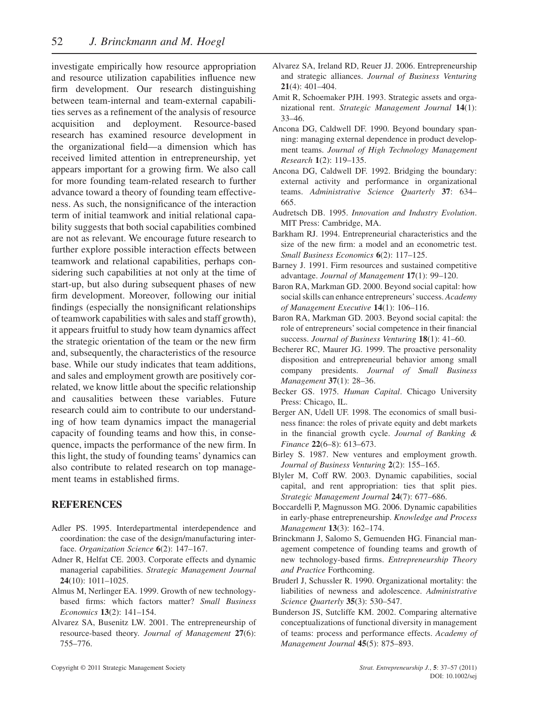investigate empirically how resource appropriation and resource utilization capabilities influence new firm development. Our research distinguishing between team-internal and team-external capabilities serves as a refinement of the analysis of resource acquisition and deployment. Resource-based research has examined resource development in the organizational field—a dimension which has received limited attention in entrepreneurship, yet appears important for a growing firm. We also call for more founding team-related research to further advance toward a theory of founding team effectiveness. As such, the nonsignificance of the interaction term of initial teamwork and initial relational capability suggests that both social capabilities combined are not as relevant. We encourage future research to further explore possible interaction effects between teamwork and relational capabilities, perhaps considering such capabilities at not only at the time of start-up, but also during subsequent phases of new firm development. Moreover, following our initial findings (especially the nonsignificant relationships of teamwork capabilities with sales and staff growth), it appears fruitful to study how team dynamics affect the strategic orientation of the team or the new firm and, subsequently, the characteristics of the resource base. While our study indicates that team additions, and sales and employment growth are positively correlated, we know little about the specific relationship and causalities between these variables. Future research could aim to contribute to our understanding of how team dynamics impact the managerial capacity of founding teams and how this, in consequence, impacts the performance of the new firm. In this light, the study of founding teams' dynamics can also contribute to related research on top management teams in established firms.

#### **REFERENCES**

- Adler PS. 1995. Interdepartmental interdependence and coordination: the case of the design/manufacturing interface. *Organization Science* **6**(2): 147–167.
- Adner R, Helfat CE. 2003. Corporate effects and dynamic managerial capabilities. *Strategic Management Journal* **24**(10): 1011–1025.
- Almus M, Nerlinger EA. 1999. Growth of new technologybased firms: which factors matter? *Small Business Economics* **13**(2): 141–154.
- Alvarez SA, Busenitz LW. 2001. The entrepreneurship of resource-based theory. *Journal of Management* **27**(6): 755–776.
- Alvarez SA, Ireland RD, Reuer JJ. 2006. Entrepreneurship and strategic alliances. *Journal of Business Venturing* **21**(4): 401–404.
- Amit R, Schoemaker PJH. 1993. Strategic assets and organizational rent. *Strategic Management Journal* **14**(1): 33–46.
- Ancona DG, Caldwell DF. 1990. Beyond boundary spanning: managing external dependence in product development teams. *Journal of High Technology Management Research* **1**(2): 119–135.
- Ancona DG, Caldwell DF. 1992. Bridging the boundary: external activity and performance in organizational teams. *Administrative Science Quarterly* **37**: 634– 665.
- Audretsch DB. 1995. *Innovation and Industry Evolution*. MIT Press: Cambridge, MA.
- Barkham RJ. 1994. Entrepreneurial characteristics and the size of the new firm: a model and an econometric test. *Small Business Economics* **6**(2): 117–125.
- Barney J. 1991. Firm resources and sustained competitive advantage. *Journal of Management* **17**(1): 99–120.
- Baron RA, Markman GD. 2000. Beyond social capital: how social skills can enhance entrepreneurs' success. *Academy of Management Executive* **14**(1): 106–116.
- Baron RA, Markman GD. 2003. Beyond social capital: the role of entrepreneurs' social competence in their financial success. *Journal of Business Venturing* **18**(1): 41–60.
- Becherer RC, Maurer JG. 1999. The proactive personality disposition and entrepreneurial behavior among small company presidents. *Journal of Small Business Management* **37**(1): 28–36.
- Becker GS. 1975. *Human Capital*. Chicago University Press: Chicago, IL.
- Berger AN, Udell UF. 1998. The economics of small business finance: the roles of private equity and debt markets in the financial growth cycle. *Journal of Banking & Finance* **22**(6–8): 613–673.
- Birley S. 1987. New ventures and employment growth. *Journal of Business Venturing* **2**(2): 155–165.
- Blyler M, Coff RW. 2003. Dynamic capabilities, social capital, and rent appropriation: ties that split pies. *Strategic Management Journal* **24**(7): 677–686.
- Boccardelli P, Magnusson MG. 2006. Dynamic capabilities in early-phase entrepreneurship. *Knowledge and Process Management* **13**(3): 162–174.
- Brinckmann J, Salomo S, Gemuenden HG. Financial management competence of founding teams and growth of new technology-based firms. *Entrepreneurship Theory and Practice* Forthcoming.
- Bruderl J, Schussler R. 1990. Organizational mortality: the liabilities of newness and adolescence. *Administrative Science Quarterly* **35**(3): 530–547.
- Bunderson JS, Sutcliffe KM. 2002. Comparing alternative conceptualizations of functional diversity in management of teams: process and performance effects. *Academy of Management Journal* **45**(5): 875–893.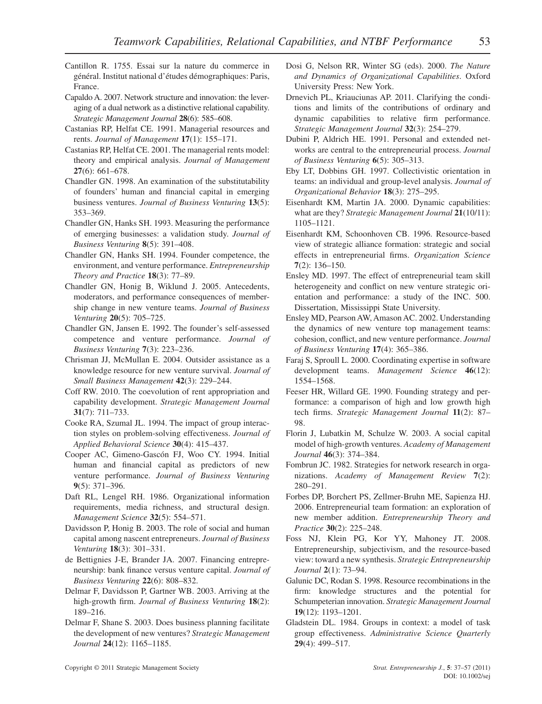- Cantillon R. 1755. Essai sur la nature du commerce in général. Institut national d'études démographiques: Paris, France.
- Capaldo A. 2007. Network structure and innovation: the leveraging of a dual network as a distinctive relational capability. *Strategic Management Journal* **28**(6): 585–608.
- Castanias RP, Helfat CE. 1991. Managerial resources and rents. *Journal of Management* **17**(1): 155–171.
- Castanias RP, Helfat CE. 2001. The managerial rents model: theory and empirical analysis. *Journal of Management* **27**(6): 661–678.
- Chandler GN. 1998. An examination of the substitutability of founders' human and financial capital in emerging business ventures. *Journal of Business Venturing* **13**(5): 353–369.
- Chandler GN, Hanks SH. 1993. Measuring the performance of emerging businesses: a validation study. *Journal of Business Venturing* **8**(5): 391–408.
- Chandler GN, Hanks SH. 1994. Founder competence, the environment, and venture performance. *Entrepreneurship Theory and Practice* **18**(3): 77–89.
- Chandler GN, Honig B, Wiklund J. 2005. Antecedents, moderators, and performance consequences of membership change in new venture teams. *Journal of Business Venturing* **20**(5): 705–725.
- Chandler GN, Jansen E. 1992. The founder's self-assessed competence and venture performance. *Journal of Business Venturing* **7**(3): 223–236.
- Chrisman JJ, McMullan E. 2004. Outsider assistance as a knowledge resource for new venture survival. *Journal of Small Business Management* **42**(3): 229–244.
- Coff RW. 2010. The coevolution of rent appropriation and capability development. *Strategic Management Journal* **31**(7): 711–733.
- Cooke RA, Szumal JL. 1994. The impact of group interaction styles on problem-solving effectiveness. *Journal of Applied Behavioral Science* **30**(4): 415–437.
- Cooper AC, Gimeno-Gascón FJ, Woo CY. 1994. Initial human and financial capital as predictors of new venture performance. *Journal of Business Venturing* **9**(5): 371–396.
- Daft RL, Lengel RH. 1986. Organizational information requirements, media richness, and structural design. *Management Science* **32**(5): 554–571.
- Davidsson P, Honig B. 2003. The role of social and human capital among nascent entrepreneurs. *Journal of Business Venturing* **18**(3): 301–331.
- de Bettignies J-E, Brander JA. 2007. Financing entrepreneurship: bank finance versus venture capital. *Journal of Business Venturing* **22**(6): 808–832.
- Delmar F, Davidsson P, Gartner WB. 2003. Arriving at the high-growth firm. *Journal of Business Venturing* 18(2): 189–216.
- Delmar F, Shane S. 2003. Does business planning facilitate the development of new ventures? *Strategic Management Journal* **24**(12): 1165–1185.
- Dosi G, Nelson RR, Winter SG (eds). 2000. *The Nature and Dynamics of Organizational Capabilities*. Oxford University Press: New York.
- Drnevich PL, Kriauciunas AP. 2011. Clarifying the conditions and limits of the contributions of ordinary and dynamic capabilities to relative firm performance. *Strategic Management Journal* **32**(3): 254–279.
- Dubini P, Aldrich HE. 1991. Personal and extended networks are central to the entrepreneurial process. *Journal of Business Venturing* **6**(5): 305–313.
- Eby LT, Dobbins GH. 1997. Collectivistic orientation in teams: an individual and group-level analysis. *Journal of Organizational Behavior* **18**(3): 275–295.
- Eisenhardt KM, Martin JA. 2000. Dynamic capabilities: what are they? *Strategic Management Journal* **21**(10/11): 1105–1121.
- Eisenhardt KM, Schoonhoven CB. 1996. Resource-based view of strategic alliance formation: strategic and social effects in entrepreneurial firms. Organization Science **7**(2): 136–150.
- Ensley MD. 1997. The effect of entrepreneurial team skill heterogeneity and conflict on new venture strategic orientation and performance: a study of the INC. 500. Dissertation, Mississippi State University.
- Ensley MD, Pearson AW, Amason AC. 2002. Understanding the dynamics of new venture top management teams: cohesion, conflict, and new venture performance. *Journal of Business Venturing* **17**(4): 365–386.
- Faraj S, Sproull L. 2000. Coordinating expertise in software development teams. *Management Science* **46**(12): 1554–1568.
- Feeser HR, Willard GE. 1990. Founding strategy and performance: a comparison of high and low growth high tech firms. *Strategic Management Journal* 11(2): 87– 98.
- Florin J, Lubatkin M, Schulze W. 2003. A social capital model of high-growth ventures. *Academy of Management Journal* **46**(3): 374–384.
- Fombrun JC. 1982. Strategies for network research in organizations. *Academy of Management Review* **7**(2): 280–291.
- Forbes DP, Borchert PS, Zellmer-Bruhn ME, Sapienza HJ. 2006. Entrepreneurial team formation: an exploration of new member addition. *Entrepreneurship Theory and Practice* **30**(2): 225–248.
- Foss NJ, Klein PG, Kor YY, Mahoney JT. 2008. Entrepreneurship, subjectivism, and the resource-based view: toward a new synthesis. *Strategic Entrepreneurship Journal* **2**(1): 73–94.
- Galunic DC, Rodan S. 1998. Resource recombinations in the firm: knowledge structures and the potential for Schumpeterian innovation. *Strategic Management Journal* **19**(12): 1193–1201.
- Gladstein DL. 1984. Groups in context: a model of task group effectiveness. *Administrative Science Quarterly* **29**(4): 499–517.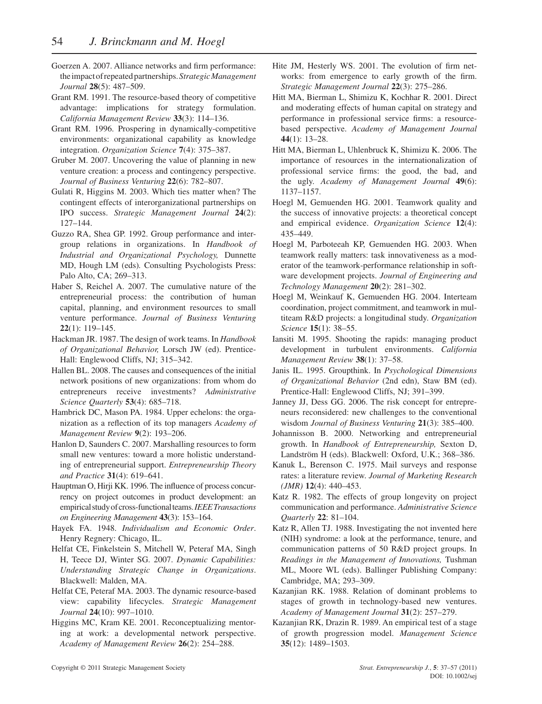- Goerzen A. 2007. Alliance networks and firm performance: the impact of repeated partnerships. *Strategic Management Journal* **28**(5): 487–509.
- Grant RM. 1991. The resource-based theory of competitive advantage: implications for strategy formulation. *California Management Review* **33**(3): 114–136.
- Grant RM. 1996. Prospering in dynamically-competitive environments: organizational capability as knowledge integration. *Organization Science* **7**(4): 375–387.
- Gruber M. 2007. Uncovering the value of planning in new venture creation: a process and contingency perspective. *Journal of Business Venturing* **22**(6): 782–807.
- Gulati R, Higgins M. 2003. Which ties matter when? The contingent effects of interorganizational partnerships on IPO success. *Strategic Management Journal* **24**(2): 127–144.
- Guzzo RA, Shea GP. 1992. Group performance and intergroup relations in organizations. In *Handbook of Industrial and Organizational Psychology,* Dunnette MD, Hough LM (eds)*.* Consulting Psychologists Press: Palo Alto, CA; 269–313.
- Haber S, Reichel A. 2007. The cumulative nature of the entrepreneurial process: the contribution of human capital, planning, and environment resources to small venture performance. *Journal of Business Venturing* **22**(1): 119–145.
- Hackman JR. 1987. The design of work teams. In *Handbook of Organizational Behavior,* Lorsch JW (ed). Prentice-Hall: Englewood Cliffs, NJ; 315–342.
- Hallen BL. 2008. The causes and consequences of the initial network positions of new organizations: from whom do entrepreneurs receive investments? *Administrative Science Quarterly* **53**(4): 685–718.
- Hambrick DC, Mason PA. 1984. Upper echelons: the organization as a reflection of its top managers *Academy of Management Review* **9**(2): 193–206.
- Hanlon D, Saunders C. 2007. Marshalling resources to form small new ventures: toward a more holistic understanding of entrepreneurial support. *Entrepreneurship Theory and Practice* **31**(4): 619–641.
- Hauptman O, Hirji KK. 1996. The influence of process concurrency on project outcomes in product development: an empirical study of cross-functional teams. *IEEE Transactions on Engineering Management* **43**(3): 153–164.
- Hayek FA. 1948. *Individualism and Economic Order*. Henry Regnery: Chicago, IL.
- Helfat CE, Finkelstein S, Mitchell W, Peteraf MA, Singh H, Teece DJ, Winter SG. 2007. *Dynamic Capabilities: Understanding Strategic Change in Organizations*. Blackwell: Malden, MA.
- Helfat CE, Peteraf MA. 2003. The dynamic resource-based view: capability lifecycles. *Strategic Management Journal* **24**(10): 997–1010.
- Higgins MC, Kram KE. 2001. Reconceptualizing mentoring at work: a developmental network perspective. *Academy of Management Review* **26**(2): 254–288.
- Hite JM, Hesterly WS. 2001. The evolution of firm networks: from emergence to early growth of the firm. *Strategic Management Journal* **22**(3): 275–286.
- Hitt MA, Bierman L, Shimizu K, Kochhar R. 2001. Direct and moderating effects of human capital on strategy and performance in professional service firms: a resourcebased perspective. *Academy of Management Journal* **44**(1): 13–28.
- Hitt MA, Bierman L, Uhlenbruck K, Shimizu K. 2006. The importance of resources in the internationalization of professional service firms: the good, the bad, and the ugly. *Academy of Management Journal* **49**(6): 1137–1157.
- Hoegl M, Gemuenden HG. 2001. Teamwork quality and the success of innovative projects: a theoretical concept and empirical evidence. *Organization Science* **12**(4): 435–449.
- Hoegl M, Parboteeah KP, Gemuenden HG. 2003. When teamwork really matters: task innovativeness as a moderator of the teamwork-performance relationship in software development projects. *Journal of Engineering and Technology Management* **20**(2): 281–302.
- Hoegl M, Weinkauf K, Gemuenden HG. 2004. Interteam coordination, project commitment, and teamwork in multiteam R&D projects: a longitudinal study. *Organization Science* **15**(1): 38–55.
- Iansiti M. 1995. Shooting the rapids: managing product development in turbulent environments. *California Management Review* **38**(1): 37–58.
- Janis IL. 1995. Groupthink. In *Psychological Dimensions of Organizational Behavior* (2nd edn), Staw BM (ed). Prentice-Hall: Englewood Cliffs, NJ; 391–399.
- Janney JJ, Dess GG. 2006. The risk concept for entrepreneurs reconsidered: new challenges to the conventional wisdom *Journal of Business Venturing* **21**(3): 385–400.
- Johannisson B. 2000. Networking and entrepreneurial growth. In *Handbook of Entrepreneurship,* Sexton D, Landström H (eds). Blackwell: Oxford, U.K.; 368–386.
- Kanuk L, Berenson C. 1975. Mail surveys and response rates: a literature review. *Journal of Marketing Research (JMR)* **12**(4): 440–453.
- Katz R. 1982. The effects of group longevity on project communication and performance. *Administrative Science Quarterly* **22**: 81–104.
- Katz R, Allen TJ. 1988. Investigating the not invented here (NIH) syndrome: a look at the performance, tenure, and communication patterns of 50 R&D project groups. In *Readings in the Management of Innovations,* Tushman ML, Moore WL (eds). Ballinger Publishing Company: Cambridge, MA; 293–309.
- Kazanjian RK. 1988. Relation of dominant problems to stages of growth in technology-based new ventures. *Academy of Management Journal* **31**(2): 257–279.
- Kazanjian RK, Drazin R. 1989. An empirical test of a stage of growth progression model. *Management Science* **35**(12): 1489–1503.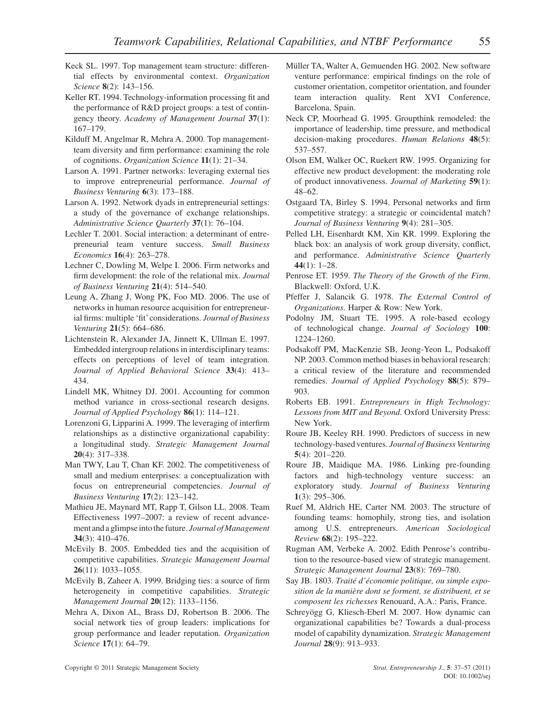- Keck SL. 1997. Top management team structure: differential effects by environmental context. *Organization Science* **8**(2): 143–156.
- Keller RT. 1994. Technology-information processing fit and the performance of R&D project groups: a test of contingency theory. *Academy of Management Journal* **37**(1): 167–179.
- Kilduff M, Angelmar R, Mehra A. 2000. Top managementteam diversity and firm performance: examining the role of cognitions. *Organization Science* **11**(1): 21–34.
- Larson A. 1991. Partner networks: leveraging external ties to improve entrepreneurial performance. *Journal of Business Venturing* **6**(3): 173–188.
- Larson A. 1992. Network dyads in entrepreneurial settings: a study of the governance of exchange relationships. *Administrative Science Quarterly* **37**(1): 76–104.
- Lechler T. 2001. Social interaction: a determinant of entrepreneurial team venture success. *Small Business Economics* **16**(4): 263–278.
- Lechner C, Dowling M, Welpe I. 2006. Firm networks and firm development: the role of the relational mix. *Journal of Business Venturing* **21**(4): 514–540.
- Leung A, Zhang J, Wong PK, Foo MD. 2006. The use of networks in human resource acquisition for entrepreneurial firms: multiple 'fit' considerations. *Journal of Business Venturing* **21**(5): 664–686.
- Lichtenstein R, Alexander JA, Jinnett K, Ullman E. 1997. Embedded intergroup relations in interdisciplinary teams: effects on perceptions of level of team integration. *Journal of Applied Behavioral Science* **33**(4): 413– 434.
- Lindell MK, Whitney DJ. 2001. Accounting for common method variance in cross-sectional research designs. *Journal of Applied Psychology* **86**(1): 114–121.
- Lorenzoni G, Lipparini A. 1999. The leveraging of interfirm relationships as a distinctive organizational capability: a longitudinal study. *Strategic Management Journal* **20**(4): 317–338.
- Man TWY, Lau T, Chan KF. 2002. The competitiveness of small and medium enterprises: a conceptualization with focus on entrepreneurial competencies. *Journal of Business Venturing* **17**(2): 123–142.
- Mathieu JE, Maynard MT, Rapp T, Gilson LL. 2008. Team Effectiveness 1997–2007: a review of recent advancement and a glimpse into the future. *Journal of Management* **34**(3): 410–476.
- McEvily B. 2005. Embedded ties and the acquisition of competitive capabilities. *Strategic Management Journal* **26**(11): 1033–1055.
- McEvily B, Zaheer A. 1999. Bridging ties: a source of firm heterogeneity in competitive capabilities. *Strategic Management Journal* **20**(12): 1133–1156.
- Mehra A, Dixon AL, Brass DJ, Robertson B. 2006. The social network ties of group leaders: implications for group performance and leader reputation. *Organization Science* **17**(1): 64–79.
- Müller TA, Walter A, Gemuenden HG. 2002. New software venture performance: empirical findings on the role of customer orientation, competitor orientation, and founder team interaction quality. Rent XVI Conference, Barcelona, Spain.
- Neck CP, Moorhead G. 1995. Groupthink remodeled: the importance of leadership, time pressure, and methodical decision-making procedures. *Human Relations* **48**(5): 537–557.
- Olson EM, Walker OC, Ruekert RW. 1995. Organizing for effective new product development: the moderating role of product innovativeness. *Journal of Marketing* **59**(1): 48–62.
- Ostgaard TA, Birley S. 1994. Personal networks and firm competitive strategy: a strategic or coincidental match? *Journal of Business Venturing* **9**(4): 281–305.
- Pelled LH, Eisenhardt KM, Xin KR. 1999. Exploring the black box: an analysis of work group diversity, conflict, and performance. *Administrative Science Quarterly* **44**(1): 1–28.
- Penrose ET. 1959. *The Theory of the Growth of the Firm*. Blackwell: Oxford, U.K.
- Pfeffer J, Salancik G. 1978. *The External Control of Organizations*. Harper & Row: New York.
- Podolny JM, Stuart TE. 1995. A role-based ecology of technological change. *Journal of Sociology* **100**: 1224–1260.
- Podsakoff PM, MacKenzie SB, Jeong-Yeon L, Podsakoff NP. 2003. Common method biases in behavioral research: a critical review of the literature and recommended remedies. *Journal of Applied Psychology* **88**(5): 879– 903.
- Roberts EB. 1991. *Entrepreneurs in High Technology: Lessons from MIT and Beyond*. Oxford University Press: New York.
- Roure JB, Keeley RH. 1990. Predictors of success in new technology-based ventures. *Journal of Business Venturing* **5**(4): 201–220.
- Roure JB, Maidique MA. 1986. Linking pre-founding factors and high-technology venture success: an exploratory study. *Journal of Business Venturing* **1**(3): 295–306.
- Ruef M, Aldrich HE, Carter NM. 2003. The structure of founding teams: homophily, strong ties, and isolation among U.S. entrepreneurs. *American Sociological Review* **68**(2): 195–222.
- Rugman AM, Verbeke A. 2002. Edith Penrose's contribution to the resource-based view of strategic management. *Strategic Management Journal* **23**(8): 769–780.
- Say JB. 1803. *Traité d'économie politique, ou simple exposition de la manière dont se forment, se distribuent, et se composent les richesses* Renouard, A.A.: Paris, France.
- Schreyögg G, Kliesch-Eberl M. 2007. How dynamic can organizational capabilities be? Towards a dual-process model of capability dynamization. *Strategic Management Journal* **28**(9): 913–933.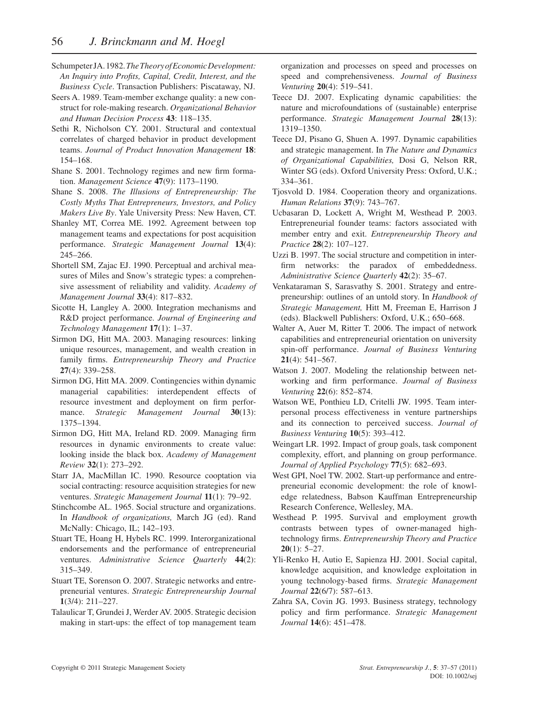Schumpeter JA. 1982. *The Theory of Economic Development:*  An Inquiry into Profits, Capital, Credit, Interest, and the *Business Cycle*. Transaction Publishers: Piscataway, NJ.

- Seers A. 1989. Team-member exchange quality: a new construct for role-making research. *Organizational Behavior and Human Decision Process* **43**: 118–135.
- Sethi R, Nicholson CY. 2001. Structural and contextual correlates of charged behavior in product development teams. *Journal of Product Innovation Management* **18**: 154–168.
- Shane S. 2001. Technology regimes and new firm formation. *Management Science* **47**(9): 1173–1190.
- Shane S. 2008. *The Illusions of Entrepreneurship: The Costly Myths That Entrepreneurs, Investors, and Policy Makers Live By*. Yale University Press: New Haven, CT.
- Shanley MT, Correa ME. 1992. Agreement between top management teams and expectations for post acquisition performance. *Strategic Management Journal* **13**(4): 245–266.
- Shortell SM, Zajac EJ. 1990. Perceptual and archival measures of Miles and Snow's strategic types: a comprehensive assessment of reliability and validity. *Academy of Management Journal* **33**(4): 817–832.
- Sicotte H, Langley A. 2000. Integration mechanisms and R&D project performance. *Journal of Engineering and Technology Management* **17**(1): 1–37.
- Sirmon DG, Hitt MA. 2003. Managing resources: linking unique resources, management, and wealth creation in family firms. *Entrepreneurship Theory and Practice* **27**(4): 339–258.
- Sirmon DG, Hitt MA. 2009. Contingencies within dynamic managerial capabilities: interdependent effects of resource investment and deployment on firm performance. *Strategic Management Journal* **30**(13): 1375–1394.
- Sirmon DG, Hitt MA, Ireland RD. 2009. Managing firm resources in dynamic environments to create value: looking inside the black box. *Academy of Management Review* **32**(1): 273–292.
- Starr JA, MacMillan IC. 1990. Resource cooptation via social contracting: resource acquisition strategies for new ventures. *Strategic Management Journal* **11**(1): 79–92.
- Stinchcombe AL. 1965. Social structure and organizations. In *Handbook of organizations,* March JG (ed). Rand McNally: Chicago, IL; 142–193.
- Stuart TE, Hoang H, Hybels RC. 1999. Interorganizational endorsements and the performance of entrepreneurial ventures. *Administrative Science Quarterly* **44**(2): 315–349.
- Stuart TE, Sorenson O. 2007. Strategic networks and entrepreneurial ventures. *Strategic Entrepreneurship Journal* **1**(3/4): 211–227.
- Talaulicar T, Grundei J, Werder AV. 2005. Strategic decision making in start-ups: the effect of top management team

organization and processes on speed and processes on speed and comprehensiveness. *Journal of Business Venturing* **20**(4): 519–541.

- Teece DJ. 2007. Explicating dynamic capabilities: the nature and microfoundations of (sustainable) enterprise performance. *Strategic Management Journal* **28**(13): 1319–1350.
- Teece DJ, Pisano G, Shuen A. 1997. Dynamic capabilities and strategic management. In *The Nature and Dynamics of Organizational Capabilities,* Dosi G, Nelson RR, Winter SG (eds). Oxford University Press: Oxford, U.K.; 334–361.
- Tjosvold D. 1984. Cooperation theory and organizations. *Human Relations* **37**(9): 743–767.
- Ucbasaran D, Lockett A, Wright M, Westhead P. 2003. Entrepreneurial founder teams: factors associated with member entry and exit. *Entrepreneurship Theory and Practice* **28**(2): 107–127.
- Uzzi B. 1997. The social structure and competition in interfirm networks: the paradox of embeddedness. *Administrative Science Quarterly* **42**(2): 35–67.
- Venkataraman S, Sarasvathy S. 2001. Strategy and entrepreneurship: outlines of an untold story. In *Handbook of Strategic Management,* Hitt M, Freeman E, Harrison J (eds). Blackwell Publishers: Oxford, U.K.; 650–668.
- Walter A, Auer M, Ritter T. 2006. The impact of network capabilities and entrepreneurial orientation on university spin-off performance. *Journal of Business Venturing* **21**(4): 541–567.
- Watson J. 2007. Modeling the relationship between networking and firm performance. *Journal of Business Venturing* **22**(6): 852–874.
- Watson WE, Ponthieu LD, Critelli JW. 1995. Team interpersonal process effectiveness in venture partnerships and its connection to perceived success. *Journal of Business Venturing* **10**(5): 393–412.
- Weingart LR. 1992. Impact of group goals, task component complexity, effort, and planning on group performance. *Journal of Applied Psychology* **77**(5): 682–693.
- West GPI, Noel TW. 2002. Start-up performance and entrepreneurial economic development: the role of knowledge relatedness, Babson Kauffman Entrepreneurship Research Conference, Wellesley, MA.
- Westhead P. 1995. Survival and employment growth contrasts between types of owner-managed hightechnology firms. *Entrepreneurship Theory and Practice* **20**(1): 5–27.
- Yli-Renko H, Autio E, Sapienza HJ. 2001. Social capital, knowledge acquisition, and knowledge exploitation in young technology-based firms. *Strategic Management Journal* **22**(6/7): 587–613.
- Zahra SA, Covin JG. 1993. Business strategy, technology policy and firm performance. *Strategic Management Journal* **14**(6): 451–478.